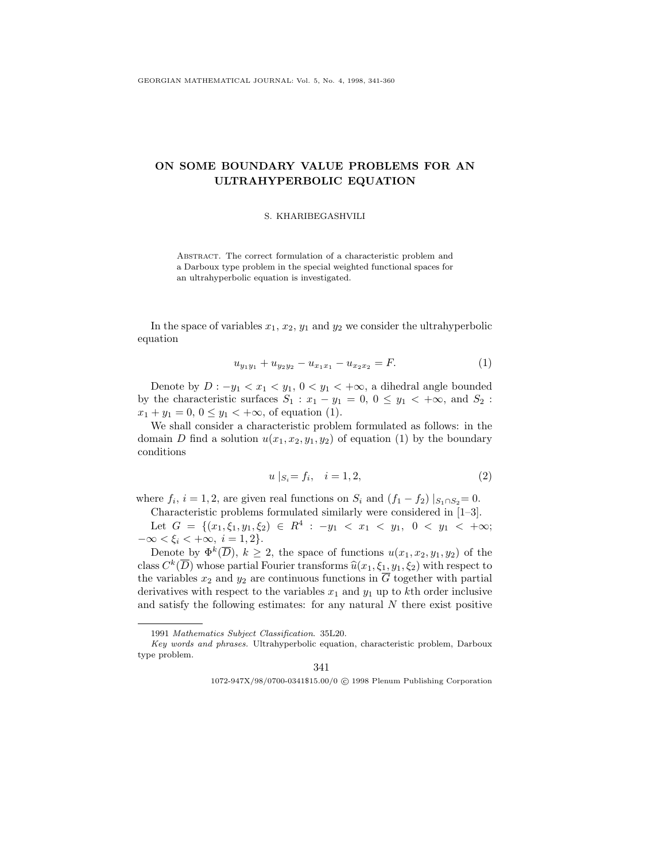## ON SOME BOUNDARY VALUE PROBLEMS FOR AN ULTRAHYPERBOLIC EQUATION

## S. KHARIBEGASHVILI

Abstract. The correct formulation of a characteristic problem and a Darboux type problem in the special weighted functional spaces for an ultrahyperbolic equation is investigated.

In the space of variables  $x_1, x_2, y_1$  and  $y_2$  we consider the ultrahyperbolic equation

$$
u_{y_1y_1} + u_{y_2y_2} - u_{x_1x_1} - u_{x_2x_2} = F.
$$
\n(1)

Denote by  $D: -y_1 < x_1 < y_1, 0 < y_1 < +\infty$ , a dihedral angle bounded by the characteristic surfaces  $S_1 : x_1 - y_1 = 0, 0 \le y_1 < +\infty$ , and  $S_2$ :  $x_1 + y_1 = 0, 0 \le y_1 < +\infty$ , of equation (1).

We shall consider a characteristic problem formulated as follows: in the domain D find a solution  $u(x_1, x_2, y_1, y_2)$  of equation (1) by the boundary conditions

$$
u \mid_{S_i} = f_i, \quad i = 1, 2,
$$
\n<sup>(2)</sup>

where  $f_i$ ,  $i = 1, 2$ , are given real functions on  $S_i$  and  $(f_1 - f_2) |_{S_1 \cap S_2} = 0$ .

Characteristic problems formulated similarly were considered in [1–3].

Let  $G = \{(x_1, \xi_1, y_1, \xi_2) \in R^4 : -y_1 < x_1 < y_1, \ 0 < y_1 < +\infty; \right)$  $-\infty < \xi_i < +\infty, i = 1, 2$ .

Denote by  $\Phi^k(\overline{D})$ ,  $k \geq 2$ , the space of functions  $u(x_1, x_2, y_1, y_2)$  of the class  $C^k(\overline{D})$  whose partial Fourier transforms  $\widehat{u}(x_1, \xi_1, y_1, \xi_2)$  with respect to the variables  $x_2$  and  $y_2$  are continuous functions in  $\overline{G}$  together with partial derivatives with respect to the variables  $x_1$  and  $y_1$  up to kth order inclusive and satisfy the following estimates: for any natural  $N$  there exist positive

341

1072-947X/98/0700-0341\$15.00/0 c 1998 Plenum Publishing Corporation

<sup>1991</sup> Mathematics Subject Classification. 35L20.

Key words and phrases. Ultrahyperbolic equation, characteristic problem, Darboux type problem.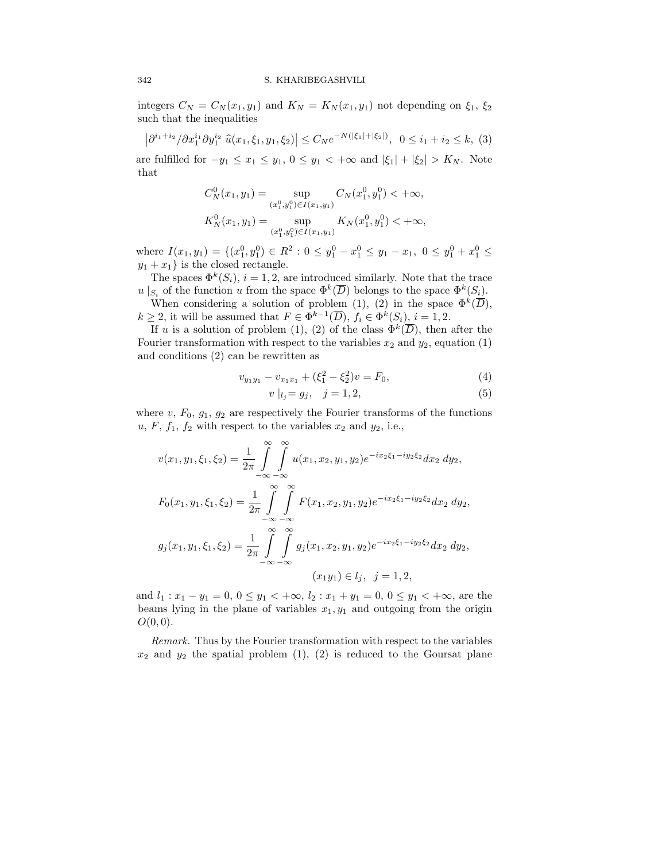integers  $C_N = C_N(x_1, y_1)$  and  $K_N = K_N(x_1, y_1)$  not depending on  $\xi_1, \xi_2$ such that the inequalities

$$
\left|\partial^{i_1+i_2}/\partial x_1^{i_1}\partial y_1^{i_2}\ \hat{u}(x_1,\xi_1,y_1,\xi_2)\right| \le C_N e^{-N(|\xi_1|+|\xi_2|)}, \ \ 0 \le i_1+i_2 \le k, \ (3)
$$

are fulfilled for  $-y_1 \leq x_1 \leq y_1$ ,  $0 \leq y_1 < +\infty$  and  $|\xi_1| + |\xi_2| > K_N$ . Note that

$$
C_N^0(x_1, y_1) = \sup_{(x_1^0, y_1^0) \in I(x_1, y_1)} C_N(x_1^0, y_1^0) < +\infty,
$$
  

$$
K_N^0(x_1, y_1) = \sup_{(x_1^0, y_1^0) \in I(x_1, y_1)} K_N(x_1^0, y_1^0) < +\infty,
$$

where  $I(x_1, y_1) = \{(x_1^0, y_1^0) \in R^2 : 0 \le y_1^0 - x_1^0 \le y_1 - x_1, 0 \le y_1^0 + x_1^0 \le y_1^0 + x_1^0 \le y_1^0 + x_1^0 \le y_1^0 + x_1^0 \le y_1^0 + x_1^0 \le y_1^0 + x_1^0 \le y_1^0 + x_1^0 \le y_1^0 + x_1^0 \le y_1^0 + x_1^0 \le y_1^0 + x_1^0 \le y_1^0 + x_1^0 \le y_1^0 + x_1^0 \$  $y_1 + x_1$  is the closed rectangle.

The spaces  $\Phi^k(S_i)$ ,  $i = 1, 2$ , are introduced similarly. Note that the trace  $u |_{S_i}$  of the function u from the space  $\Phi^k(\overline{D})$  belongs to the space  $\Phi^k(S_i)$ .

When considering a solution of problem (1), (2) in the space  $\Phi^k(\overline{D})$ ,  $k \geq 2$ , it will be assumed that  $F \in \Phi^{k-1}(\overline{D})$ ,  $f_i \in \Phi^k(S_i)$ ,  $i = 1, 2$ .

If u is a solution of problem (1), (2) of the class  $\Phi^k(\overline{D})$ , then after the Fourier transformation with respect to the variables  $x_2$  and  $y_2$ , equation (1) and conditions (2) can be rewritten as

$$
v_{y_1y_1} - v_{x_1x_1} + (\xi_1^2 - \xi_2^2)v = F_0,
$$
\n<sup>(4)</sup>

$$
v|_{l_j} = g_j, \quad j = 1, 2,
$$
\n(5)

where  $v, F_0, g_1, g_2$  are respectively the Fourier transforms of the functions  $u, F, f_1, f_2$  with respect to the variables  $x_2$  and  $y_2$ , i.e.,

$$
v(x_1, y_1, \xi_1, \xi_2) = \frac{1}{2\pi} \int_{-\infty}^{\infty} \int_{-\infty}^{\infty} u(x_1, x_2, y_1, y_2) e^{-ix_2\xi_1 - iy_2\xi_2} dx_2 dy_2,
$$
  
\n
$$
F_0(x_1, y_1, \xi_1, \xi_2) = \frac{1}{2\pi} \int_{-\infty}^{\infty} \int_{-\infty}^{\infty} F(x_1, x_2, y_1, y_2) e^{-ix_2\xi_1 - iy_2\xi_2} dx_2 dy_2,
$$
  
\n
$$
g_j(x_1, y_1, \xi_1, \xi_2) = \frac{1}{2\pi} \int_{-\infty}^{\infty} \int_{-\infty}^{\infty} g_j(x_1, x_2, y_1, y_2) e^{-ix_2\xi_1 - iy_2\xi_2} dx_2 dy_2,
$$
  
\n
$$
(x_1y_1) \in l_j, \ \ j = 1, 2,
$$

and  $l_1: x_1 - y_1 = 0, 0 \le y_1 < +\infty, l_2: x_1 + y_1 = 0, 0 \le y_1 < +\infty$ , are the beams lying in the plane of variables  $x_1, y_1$  and outgoing from the origin  $O(0, 0)$ .

Remark. Thus by the Fourier transformation with respect to the variables  $x_2$  and  $y_2$  the spatial problem (1), (2) is reduced to the Goursat plane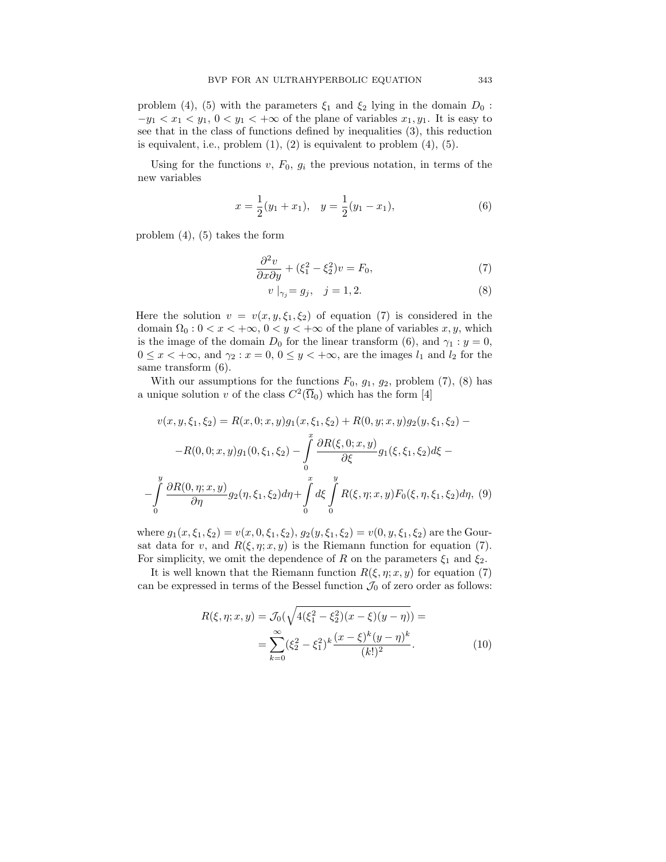problem (4), (5) with the parameters  $\xi_1$  and  $\xi_2$  lying in the domain  $D_0$ :  $-y_1 < x_1 < y_1, 0 < y_1 < +\infty$  of the plane of variables  $x_1, y_1$ . It is easy to see that in the class of functions defined by inequalities (3), this reduction is equivalent, i.e., problem  $(1)$ ,  $(2)$  is equivalent to problem  $(4)$ ,  $(5)$ .

Using for the functions  $v, F_0, g_i$  the previous notation, in terms of the new variables

$$
x = \frac{1}{2}(y_1 + x_1), \quad y = \frac{1}{2}(y_1 - x_1), \tag{6}
$$

problem (4), (5) takes the form

$$
\frac{\partial^2 v}{\partial x \partial y} + (\xi_1^2 - \xi_2^2)v = F_0,\tag{7}
$$

$$
v \mid_{\gamma_j} = g_j, \quad j = 1, 2. \tag{8}
$$

Here the solution  $v = v(x, y, \xi_1, \xi_2)$  of equation (7) is considered in the domain  $\Omega_0: 0 < x < +\infty$ ,  $0 < y < +\infty$  of the plane of variables x, y, which is the image of the domain  $D_0$  for the linear transform (6), and  $\gamma_1 : y = 0$ ,  $0 \leq x < +\infty$ , and  $\gamma_2 : x = 0, 0 \leq y < +\infty$ , are the images  $l_1$  and  $l_2$  for the same transform (6).

With our assumptions for the functions  $F_0$ ,  $g_1$ ,  $g_2$ , problem (7), (8) has a unique solution v of the class  $C^2(\overline{\Omega}_0)$  which has the form [4]

$$
v(x, y, \xi_1, \xi_2) = R(x, 0; x, y)g_1(x, \xi_1, \xi_2) + R(0, y; x, y)g_2(y, \xi_1, \xi_2) - R(0, 0; x, y)g_1(0, \xi_1, \xi_2) - \int_0^x \frac{\partial R(\xi, 0; x, y)}{\partial \xi} g_1(\xi, \xi_1, \xi_2) d\xi - \int_0^y \frac{\partial R(0, \eta; x, y)}{\partial \eta} g_2(\eta, \xi_1, \xi_2) d\eta + \int_0^x d\xi \int_0^y R(\xi, \eta; x, y) F_0(\xi, \eta, \xi_1, \xi_2) d\eta, \tag{9}
$$

where  $g_1(x,\xi_1,\xi_2) = v(x,0,\xi_1,\xi_2), g_2(y,\xi_1,\xi_2) = v(0,y,\xi_1,\xi_2)$  are the Goursat data for v, and  $R(\xi, \eta; x, y)$  is the Riemann function for equation (7). For simplicity, we omit the dependence of R on the parameters  $\xi_1$  and  $\xi_2$ .

It is well known that the Riemann function  $R(\xi, \eta; x, y)$  for equation (7) can be expressed in terms of the Bessel function  $\mathcal{J}_0$  of zero order as follows:

$$
R(\xi, \eta; x, y) = \mathcal{J}_0(\sqrt{4(\xi_1^2 - \xi_2^2)(x - \xi)(y - \eta)}) =
$$
  
= 
$$
\sum_{k=0}^{\infty} (\xi_2^2 - \xi_1^2)^k \frac{(x - \xi)^k (y - \eta)^k}{(k!)^2}.
$$
 (10)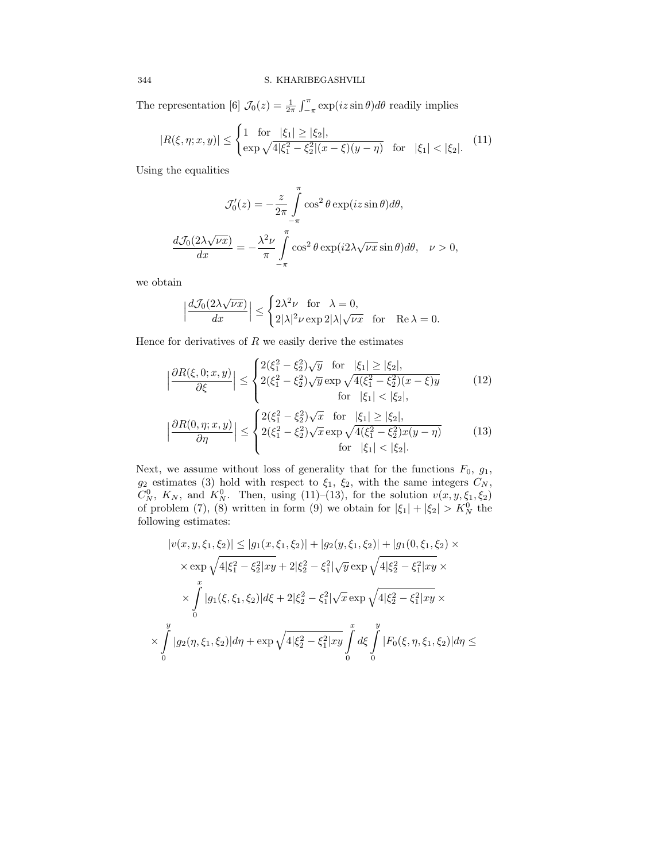The representation [6]  $\mathcal{J}_0(z) = \frac{1}{2\pi} \int_{-\pi}^{\pi} \exp(iz \sin \theta) d\theta$  readily implies

$$
|R(\xi, \eta; x, y)| \le \begin{cases} 1 & \text{for } |\xi_1| \ge |\xi_2|, \\ \exp\sqrt{4|\xi_1^2 - \xi_2^2|(x - \xi)(y - \eta)} & \text{for } |\xi_1| < |\xi_2|. \end{cases} \tag{11}
$$

Using the equalities

$$
\mathcal{J}'_0(z) = -\frac{z}{2\pi} \int_{-\pi}^{\pi} \cos^2 \theta \exp(iz \sin \theta) d\theta,
$$

$$
\frac{d\mathcal{J}_0(2\lambda\sqrt{\nu x})}{dx} = -\frac{\lambda^2 \nu}{\pi} \int_{-\pi}^{\pi} \cos^2 \theta \exp(i2\lambda\sqrt{\nu x} \sin \theta) d\theta, \quad \nu > 0,
$$

we obtain

$$
\Big|\frac{d\mathcal{J}_0(2\lambda\sqrt{\nu x})}{dx}\Big|\leq \begin{cases} 2\lambda^2\nu&\text{for}\quad \lambda=0,\\ 2|\lambda|^2\nu\exp 2|\lambda|\sqrt{\nu x}&\text{for}\quad \mathrm{Re}\,\lambda=0.\end{cases}
$$

Hence for derivatives of  $R$  we easily derive the estimates

$$
\left| \frac{\partial R(\xi, 0; x, y)}{\partial \xi} \right| \leq \begin{cases} 2(\xi_1^2 - \xi_2^2)\sqrt{y} & \text{for} \quad |\xi_1| \geq |\xi_2|, \\ 2(\xi_1^2 - \xi_2^2)\sqrt{y} \exp \sqrt{4(\xi_1^2 - \xi_2^2)(x - \xi)y} & \text{for} \quad |\xi_1| < |\xi_2|, \\ \text{for} \quad |\xi_1| < |\xi_2|, \end{cases} \tag{12}
$$
\n
$$
\left| \frac{\partial R(0, \eta; x, y)}{\partial \eta} \right| \leq \begin{cases} 2(\xi_1^2 - \xi_2^2)\sqrt{x} & \text{for} \quad |\xi_1| \geq |\xi_2|, \\ 2(\xi_1^2 - \xi_2^2)\sqrt{x} \exp \sqrt{4(\xi_1^2 - \xi_2^2)x(y - \eta)} & \text{for} \quad |\xi_1| < |\xi_2|. \end{cases} \tag{13}
$$

Next, we assume without loss of generality that for the functions  $F_0$ ,  $g_1$ ,  $g_2$  estimates (3) hold with respect to  $\xi_1$ ,  $\xi_2$ , with the same integers  $C_N$ ,  $C_N^0$ ,  $K_N$ , and  $K_N^0$ . Then, using (11)–(13), for the solution  $v(x, y, \xi_1, \xi_2)$ of problem (7), (8) written in form (9) we obtain for  $|\xi_1| + |\xi_2| > K_N^0$  the following estimates:

$$
|v(x, y, \xi_1, \xi_2)| \le |g_1(x, \xi_1, \xi_2)| + |g_2(y, \xi_1, \xi_2)| + |g_1(0, \xi_1, \xi_2) \times
$$
  

$$
\times \exp \sqrt{4|\xi_1^2 - \xi_2^2|xy} + 2|\xi_2^2 - \xi_1^2|\sqrt{y} \exp \sqrt{4|\xi_2^2 - \xi_1^2|xy} \times
$$
  

$$
\times \int_0^x |g_1(\xi, \xi_1, \xi_2)|d\xi + 2|\xi_2^2 - \xi_1^2|\sqrt{x} \exp \sqrt{4|\xi_2^2 - \xi_1^2|xy} \times
$$
  

$$
\times \int_0^y |g_2(\eta, \xi_1, \xi_2)|d\eta + \exp \sqrt{4|\xi_2^2 - \xi_1^2|xy} \int_0^x d\xi \int_0^y |F_0(\xi, \eta, \xi_1, \xi_2)|d\eta \le
$$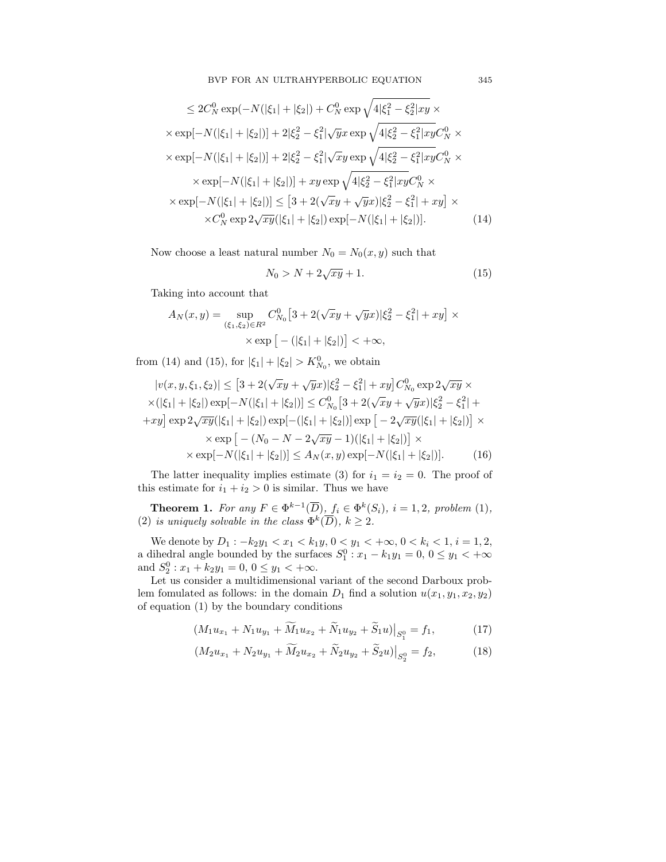$$
\leq 2C_N^0 \exp(-N(|\xi_1| + |\xi_2|) + C_N^0 \exp \sqrt{4|\xi_1^2 - \xi_2^2|xy} \times
$$
  
\n
$$
\times \exp[-N(|\xi_1| + |\xi_2|)] + 2|\xi_2^2 - \xi_1^2|\sqrt{y}x \exp \sqrt{4|\xi_2^2 - \xi_1^2|xy}C_N^0 \times
$$
  
\n
$$
\times \exp[-N(|\xi_1| + |\xi_2|)] + 2|\xi_2^2 - \xi_1^2|\sqrt{xy} \exp \sqrt{4|\xi_2^2 - \xi_1^2|xy}C_N^0 \times
$$
  
\n
$$
\times \exp[-N(|\xi_1| + |\xi_2|)] + xy \exp \sqrt{4|\xi_2^2 - \xi_1^2|xy}C_N^0 \times
$$
  
\n
$$
\times \exp[-N(|\xi_1| + |\xi_2|)] \le [3 + 2(\sqrt{xy} + \sqrt{yx})|\xi_2^2 - \xi_1^2| + xy] \times
$$
  
\n
$$
\times C_N^0 \exp 2\sqrt{xy}(|\xi_1| + |\xi_2|) \exp[-N(|\xi_1| + |\xi_2|)].
$$
 (14)

Now choose a least natural number  $N_0 = N_0(x, y)$  such that

$$
N_0 > N + 2\sqrt{xy} + 1.\tag{15}
$$

Taking into account that

$$
A_N(x, y) = \sup_{(\xi_1, \xi_2) \in R^2} C_{N_0}^0 \left[ 3 + 2(\sqrt{x}y + \sqrt{y}x) |\xi_2^2 - \xi_1^2| + xy \right] \times \exp \left[ -(|\xi_1| + |\xi_2|) \right] < +\infty,
$$

from (14) and (15), for  $|\xi_1| + |\xi_2| > K_{N_0}^0$ , we obtain

$$
|v(x, y, \xi_1, \xi_2)| \le [3 + 2(\sqrt{xy} + \sqrt{yx})|\xi_2^2 - \xi_1^2| + xy]C_{N_0}^0 \exp 2\sqrt{xy} \times
$$
  
\n
$$
\times (|\xi_1| + |\xi_2|) \exp[-N(|\xi_1| + |\xi_2|)] \le C_{N_0}^0 [3 + 2(\sqrt{xy} + \sqrt{yx})|\xi_2^2 - \xi_1^2| +
$$
  
\n
$$
+ xy] \exp 2\sqrt{xy}(|\xi_1| + |\xi_2|) \exp[-(|\xi_1| + |\xi_2|)] \exp [-2\sqrt{xy}(|\xi_1| + |\xi_2|)] \times
$$
  
\n
$$
\times \exp[-N(|\xi_1| + |\xi_2|)] \le A_N(x, y) \exp[-N(|\xi_1| + |\xi_2|)].
$$
 (16)

The latter inequality implies estimate (3) for  $i_1 = i_2 = 0$ . The proof of this estimate for  $i_1 + i_2 > 0$  is similar. Thus we have

**Theorem 1.** For any  $F \in \Phi^{k-1}(\overline{D})$ ,  $f_i \in \Phi^k(S_i)$ ,  $i = 1, 2$ , problem (1), (2) is uniquely solvable in the class  $\Phi^k(\overline{D}), k \geq 2$ .

We denote by  $D_1: -k_2y_1 < x_1 < k_1y, 0 < y_1 < +\infty, 0 < k_i < 1, i = 1, 2,$ a dihedral angle bounded by the surfaces  $S_1^0: x_1 - k_1y_1 = 0, 0 \le y_1 < +\infty$ and  $S_2^0: x_1 + k_2y_1 = 0, 0 \le y_1 < +\infty$ .

Let us consider a multidimensional variant of the second Darboux problem fomulated as follows: in the domain  $D_1$  find a solution  $u(x_1, y_1, x_2, y_2)$ of equation (1) by the boundary conditions

$$
(M_1 u_{x_1} + N_1 u_{y_1} + \widetilde{M}_1 u_{x_2} + \widetilde{N}_1 u_{y_2} + \widetilde{S}_1 u)|_{S_1^0} = f_1,
$$
\n(17)

$$
(M_2u_{x_1} + N_2u_{y_1} + \widetilde{M}_2u_{x_2} + \widetilde{N}_2u_{y_2} + \widetilde{S}_2u)|_{S_2^0} = f_2,
$$
 (18)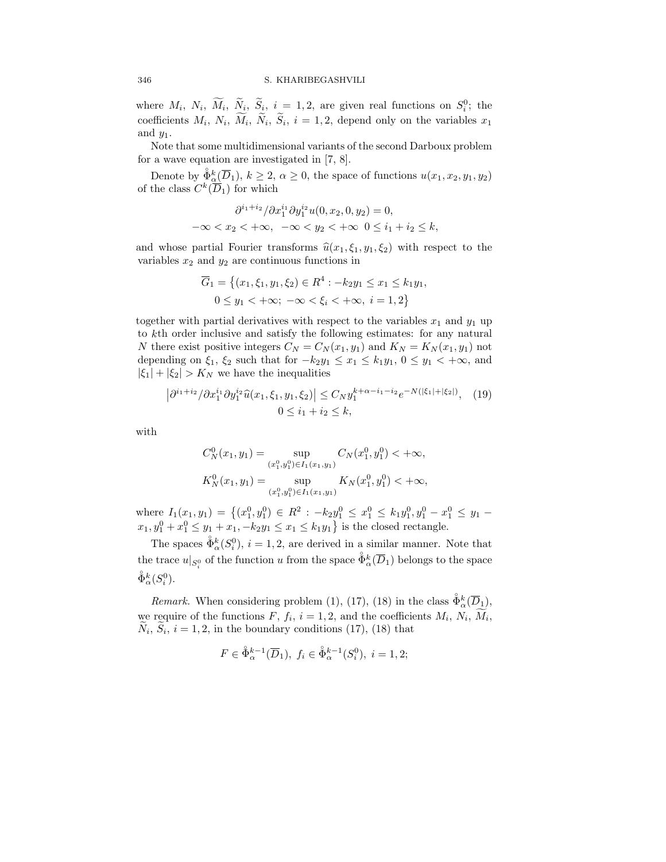where  $M_i$ ,  $N_i$ ,  $\overline{M}_i$ ,  $\overline{N}_i$ ,  $\overline{S}_i$ ,  $i = 1, 2$ , are given real functions on  $S_i^0$ ; the coefficients  $M_i$ ,  $N_i$ ,  $M_i$ ,  $N_i$ ,  $S_i$ ,  $i = 1, 2$ , depend only on the variables  $x_1$ and  $y_1$ .

Note that some multidimensional variants of the second Darboux problem for a wave equation are investigated in [7, 8].

Denote by  $\mathring{\Phi}_{\underline{\alpha}}^{k}(\overline{D}_1), k \geq 2, \alpha \geq 0$ , the space of functions  $u(x_1, x_2, y_1, y_2)$ of the class  $C^k(\overline{D}_1)$  for which

$$
\frac{\partial^{i_1+i_2}}{\partial x_1^{i_1}\partial y_1^{i_2}u(0, x_2, 0, y_2)} = 0,
$$
  

$$
-\infty < x_2 < +\infty, \quad -\infty < y_2 < +\infty \quad 0 \le i_1 + i_2 \le k,
$$

and whose partial Fourier transforms  $\hat{u}(x_1, \xi_1, y_1, \xi_2)$  with respect to the variables  $x_2$  and  $y_2$  are continuous functions in

$$
\overline{G}_1 = \left\{ (x_1, \xi_1, y_1, \xi_2) \in R^4 : -k_2 y_1 \le x_1 \le k_1 y_1, 0 \le y_1 < +\infty; \ -\infty < \xi_i < +\infty, \ i = 1, 2 \right\}
$$

together with partial derivatives with respect to the variables  $x_1$  and  $y_1$  up to  $k$ th order inclusive and satisfy the following estimates: for any natural N there exist positive integers  $C_N = C_N(x_1, y_1)$  and  $K_N = K_N(x_1, y_1)$  not depending on  $\xi_1$ ,  $\xi_2$  such that for  $-k_2y_1 \le x_1 \le k_1y_1$ ,  $0 \le y_1 < +\infty$ , and  $|\xi_1| + |\xi_2| > K_N$  we have the inequalities

$$
\left|\partial^{i_1+i_2}/\partial x_1^{i_1}\partial y_1^{i_2}\hat{u}(x_1,\xi_1,y_1,\xi_2)\right| \le C_N y_1^{k+\alpha-i_1-i_2} e^{-N(|\xi_1|+|\xi_2|)}, \quad (19)
$$
  

$$
0 \le i_1 + i_2 \le k,
$$

with

$$
C_N^0(x_1, y_1) = \sup_{(x_1^0, y_1^0) \in I_1(x_1, y_1)} C_N(x_1^0, y_1^0) < +\infty,
$$
  

$$
K_N^0(x_1, y_1) = \sup_{(x_1^0, y_1^0) \in I_1(x_1, y_1)} K_N(x_1^0, y_1^0) < +\infty,
$$

where  $I_1(x_1, y_1) = \{(x_1^0, y_1^0) \in R^2 : -k_2y_1^0 \le x_1^0 \le k_1y_1^0, y_1^0 - x_1^0 \le y_1$  $x_1, y_1^0 + x_1^0 \le y_1 + x_1, -k_2y_1 \le x_1 \le k_1y_1$  is the closed rectangle.

The spaces  $\hat{\Phi}_{\alpha}^{k}(S_{i}^{0}), i = 1, 2$ , are derived in a similar manner. Note that the trace  $u|_{S_i^0}$  of the function u from the space  $\mathring{\Phi}_{\alpha}^k(\overline{D}_1)$  belongs to the space  $\mathring{\Phi}_{\alpha}^{k}(S_{i}^{0}).$ 

*Remark.* When considering problem (1), (17), (18) in the class  $\hat{\Phi}_{\alpha}^{k}(\overline{D}_{1}),$ we require of the functions  $F, f_i, i = 1, 2$ , and the coefficients  $M_i, N_i, M_i$ ,  $N_i$ ,  $S_i$ ,  $i = 1, 2$ , in the boundary conditions (17), (18) that

$$
F \in \mathring{\Phi}_{\alpha}^{k-1}(\overline{D}_1), \ f_i \in \mathring{\Phi}_{\alpha}^{k-1}(S_i^0), \ i = 1, 2;
$$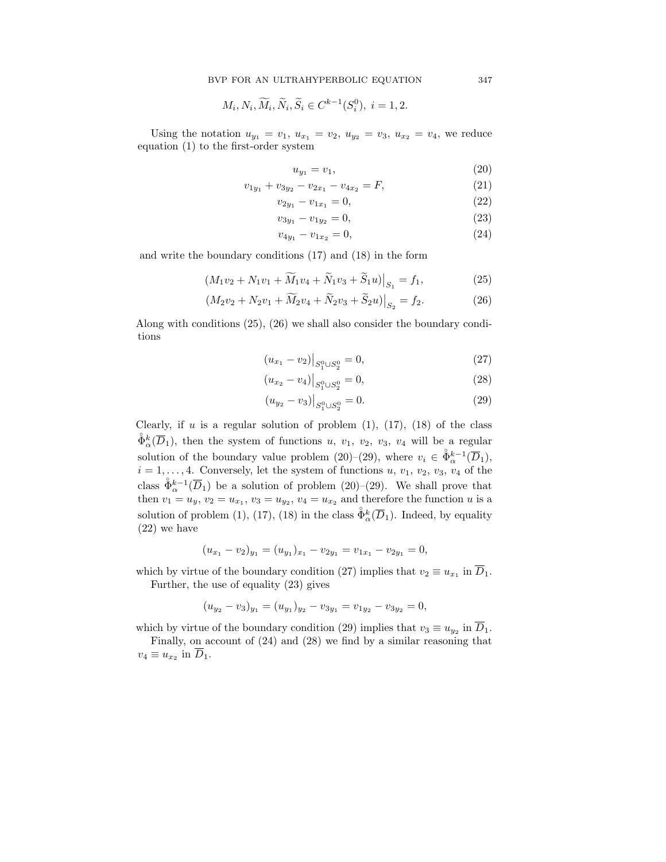$$
M_i, N_i, \widetilde{M}_i, \widetilde{N}_i, \widetilde{S}_i \in C^{k-1}(S_i^0), i = 1, 2.
$$

Using the notation  $u_{y_1} = v_1$ ,  $u_{x_1} = v_2$ ,  $u_{y_2} = v_3$ ,  $u_{x_2} = v_4$ , we reduce equation (1) to the first-order system

$$
u_{y_1} = v_1,\t\t(20)
$$

$$
v_{1y_1} + v_{3y_2} - v_{2x_1} - v_{4x_2} = F,
$$
\n(21)

$$
v_{2y_1} - v_{1x_1} = 0,\t\t(22)
$$

$$
v_{3y_1} - v_{1y_2} = 0,\t\t(23)
$$

$$
v_{4y_1} - v_{1x_2} = 0,\t\t(24)
$$

and write the boundary conditions (17) and (18) in the form

$$
(M_1v_2 + N_1v_1 + \widetilde{M}_1v_4 + \widetilde{N}_1v_3 + \widetilde{S}_1u)|_{S_1} = f_1,
$$
\n(25)

$$
(M_2v_2 + N_2v_1 + \widetilde{M}_2v_4 + \widetilde{N}_2v_3 + \widetilde{S}_2u)|_{S_2} = f_2.
$$
 (26)

Along with conditions (25), (26) we shall also consider the boundary conditions

$$
(u_{x_1} - v_2)|_{S_1^0 \cup S_2^0} = 0,
$$
\n(27)

$$
(u_{x_2} - v_4)|_{S_1^0 \cup S_2^0} = 0,
$$
\n(28)

$$
(u_{y_2} - v_3)|_{S_1^0 \cup S_2^0} = 0.
$$
\n(29)

Clearly, if  $u$  is a regular solution of problem  $(1)$ ,  $(17)$ ,  $(18)$  of the class  $\mathring{\Phi}_{\alpha}^{k}(\overline{D}_{1})$ , then the system of functions u,  $v_{1}$ ,  $v_{2}$ ,  $v_{3}$ ,  $v_{4}$  will be a regular solution of the boundary value problem (20)–(29), where  $v_i \in \mathring{\Phi}_{\alpha}^{k-1}(\overline{D}_1)$ ,  $i = 1, \ldots, 4$ . Conversely, let the system of functions  $u, v_1, v_2, v_3, v_4$  of the class  $\hat{\Phi}_{\alpha}^{k-1}(\overline{D}_1)$  be a solution of problem (20)–(29). We shall prove that then  $v_1 = u_y, v_2 = u_{x_1}, v_3 = u_{y_2}, v_4 = u_{x_2}$  and therefore the function u is a solution of problem (1), (17), (18) in the class  $\tilde{\Phi}_{\alpha}^{k}(\overline{D}_{1})$ . Indeed, by equality (22) we have

$$
(u_{x_1} - v_2)_{y_1} = (u_{y_1})_{x_1} - v_{2y_1} = v_{1x_1} - v_{2y_1} = 0,
$$

which by virtue of the boundary condition (27) implies that  $v_2 \equiv u_{x_1}$  in  $D_1$ . Further, the use of equality (23) gives

$$
(u_{y_2} - v_3)_{y_1} = (u_{y_1})_{y_2} - v_{3y_1} = v_{1y_2} - v_{3y_2} = 0,
$$

which by virtue of the boundary condition (29) implies that  $v_3 \equiv u_{y_2}$  in  $D_1$ .

Finally, on account of (24) and (28) we find by a similar reasoning that  $v_4 \equiv u_{x_2}$  in  $D_1$ .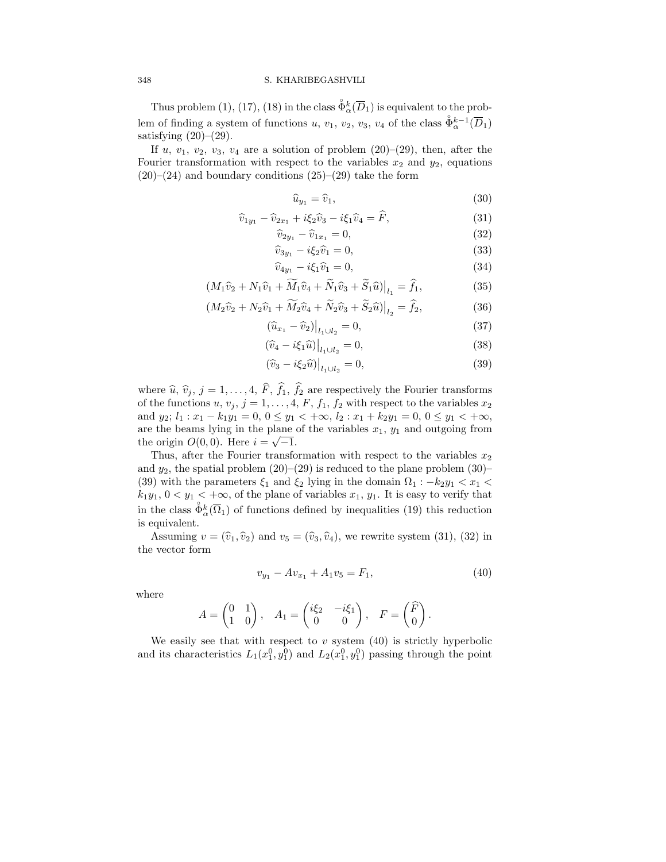Thus problem (1), (17), (18) in the class  $\mathring{\Phi}_{\alpha}^{k}(\overline{D}_{1})$  is equivalent to the problem of finding a system of functions  $u, v_1, v_2, v_3, v_4$  of the class  $\mathring{\Phi}_{\alpha}^{k-1}(\overline{D}_1)$ satisfying  $(20)$ – $(29)$ .

If u,  $v_1$ ,  $v_2$ ,  $v_3$ ,  $v_4$  are a solution of problem  $(20)$ – $(29)$ , then, after the Fourier transformation with respect to the variables  $x_2$  and  $y_2$ , equations  $(20)$ – $(24)$  and boundary conditions  $(25)$ – $(29)$  take the form

$$
\widehat{u}_{y_1} = \widehat{v}_1,\tag{30}
$$

$$
\widehat{v}_{1y_1} - \widehat{v}_{2x_1} + i\xi_2 \widehat{v}_3 - i\xi_1 \widehat{v}_4 = \widehat{F},\tag{31}
$$

$$
\widehat{v}_{2y_1} - \widehat{v}_{1x_1} = 0,\tag{32}
$$

$$
\widehat{v}_{3y_1} - i\xi_2 \widehat{v}_1 = 0,\tag{33}
$$

$$
\widehat{v}_{4y_1} - i\xi_1 \widehat{v}_1 = 0,\tag{34}
$$

$$
(M_1\hat{v}_2 + N_1\hat{v}_1 + \widetilde{M}_1\hat{v}_4 + \widetilde{N}_1\hat{v}_3 + \widetilde{S}_1\hat{u})\big|_{l_1} = \widehat{f}_1,\tag{35}
$$

$$
(M_2\hat{v}_2 + N_2\hat{v}_1 + \widetilde{M}_2\hat{v}_4 + \widetilde{N}_2\hat{v}_3 + \widetilde{S}_2\hat{u})\big|_{l_2} = \widehat{f}_2,\tag{36}
$$

$$
(\hat{u}_{x_1} - \hat{v}_2)|_{l_1 \cup l_2} = 0,\t\t(37)
$$

$$
(\widehat{v}_4 - i\xi_1 \widehat{u})\big|_{l_1 \cup l_2} = 0,\tag{38}
$$

$$
(\widehat{v}_3 - i\xi_2 \widehat{u})\big|_{l_1 \cup l_2} = 0,\tag{39}
$$

where  $\hat{u}$ ,  $\hat{v}_j$ ,  $j = 1, ..., 4$ ,  $\hat{F}$ ,  $\hat{f}_1$ ,  $\hat{f}_2$  are respectively the Fourier transforms of the functions  $u, v_j, j = 1, ..., 4, F, f_1, f_2$  with respect to the variables  $x_2$ and  $y_2$ ;  $l_1: x_1 - k_1y_1 = 0$ ,  $0 \le y_1 < +\infty$ ,  $l_2: x_1 + k_2y_1 = 0$ ,  $0 \le y_1 < +\infty$ , are the beams lying in the plane of the variables  $x_1, y_1$  and outgoing from the origin  $O(0,0)$ . Here  $i = \sqrt{-1}$ .

Thus, after the Fourier transformation with respect to the variables  $x_2$ and  $y_2$ , the spatial problem  $(20)$ – $(29)$  is reduced to the plane problem  $(30)$ – (39) with the parameters  $\xi_1$  and  $\xi_2$  lying in the domain  $\Omega_1$  :  $-k_2y_1 < x_1 <$  $k_1y_1, 0 < y_1 < +\infty$ , of the plane of variables  $x_1, y_1$ . It is easy to verify that in the class  $\hat{\Phi}_{\alpha}^{k}(\overline{\Omega}_{1})$  of functions defined by inequalities (19) this reduction is equivalent.

Assuming  $v = (\hat{v}_1, \hat{v}_2)$  and  $v_5 = (\hat{v}_3, \hat{v}_4)$ , we rewrite system (31), (32) in the vector form

$$
v_{y_1} - Av_{x_1} + A_1 v_5 = F_1,\tag{40}
$$

where

$$
A = \begin{pmatrix} 0 & 1 \\ 1 & 0 \end{pmatrix}, \quad A_1 = \begin{pmatrix} i\xi_2 & -i\xi_1 \\ 0 & 0 \end{pmatrix}, \quad F = \begin{pmatrix} \widehat{F} \\ 0 \end{pmatrix}.
$$

We easily see that with respect to  $v$  system  $(40)$  is strictly hyperbolic and its characteristics  $L_1(x_1^0, y_1^0)$  and  $L_2(x_1^0, y_1^0)$  passing through the point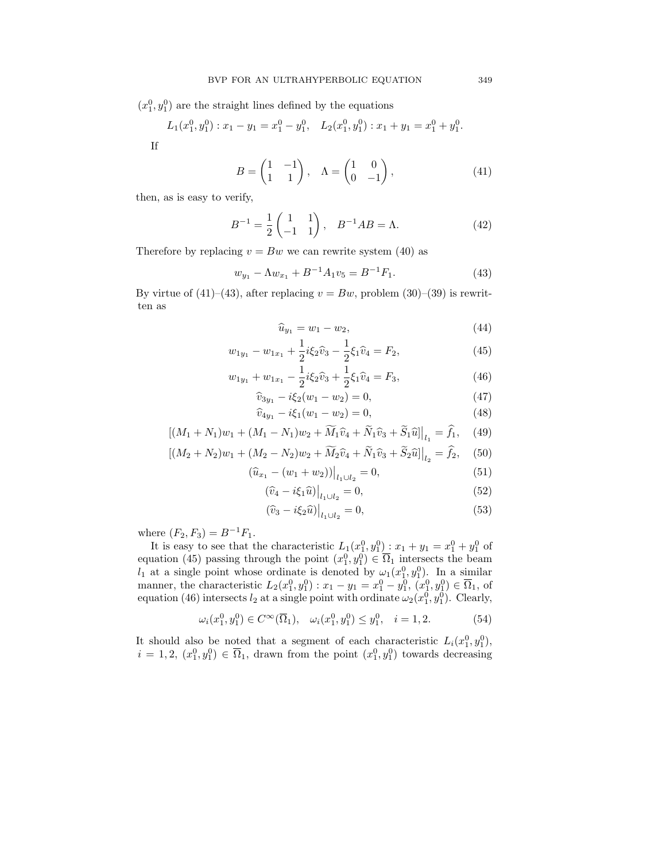$(x_1^0, y_1^0)$  are the straight lines defined by the equations

$$
L_1(x_1^0, y_1^0): x_1 - y_1 = x_1^0 - y_1^0, \quad L_2(x_1^0, y_1^0): x_1 + y_1 = x_1^0 + y_1^0.
$$

If

$$
B = \begin{pmatrix} 1 & -1 \\ 1 & 1 \end{pmatrix}, \quad \Lambda = \begin{pmatrix} 1 & 0 \\ 0 & -1 \end{pmatrix}, \tag{41}
$$

then, as is easy to verify,

$$
B^{-1} = \frac{1}{2} \begin{pmatrix} 1 & 1 \\ -1 & 1 \end{pmatrix}, \quad B^{-1}AB = \Lambda.
$$
 (42)

Therefore by replacing  $v = Bw$  we can rewrite system (40) as

$$
w_{y_1} - \Lambda w_{x_1} + B^{-1} A_1 v_5 = B^{-1} F_1.
$$
\n(43)

By virtue of (41)–(43), after replacing  $v = Bw$ , problem (30)–(39) is rewritten as

$$
\widehat{u}_{y_1} = w_1 - w_2,\tag{44}
$$

$$
w_{1y_1} - w_{1x_1} + \frac{1}{2}i\xi_2\hat{v}_3 - \frac{1}{2}\xi_1\hat{v}_4 = F_2,
$$
\n(45)

$$
w_{1y_1} + w_{1x_1} - \frac{1}{2}i\xi_2\hat{v}_3 + \frac{1}{2}\xi_1\hat{v}_4 = F_3,
$$
\n(46)

$$
\widehat{v}_{3y_1} - i\xi_2(w_1 - w_2) = 0,\t\t(47)
$$

$$
\widehat{v}_{4y_1} - i\xi_1(w_1 - w_2) = 0,\t\t(48)
$$

$$
[(M_1 + N_1)w_1 + (M_1 - N_1)w_2 + \widetilde{M}_1\widehat{v}_4 + \widetilde{N}_1\widehat{v}_3 + \widetilde{S}_1\widehat{u}]\big|_{l_1} = \widehat{f}_1, \quad (49)
$$

$$
[(M_2 + N_2)w_1 + (M_2 - N_2)w_2 + \widetilde{M}_2\hat{v}_4 + \widetilde{N}_1\hat{v}_3 + \widetilde{S}_2\hat{u}]\big|_{l_2} = \hat{f}_2,\quad(50)
$$

$$
(\widehat{u}_{x_1} - (w_1 + w_2))\big|_{l_1 \cup l_2} = 0,\tag{51}
$$

$$
(\widehat{v}_4 - i\xi_1 \widehat{u})\big|_{l_1 \cup l_2} = 0,\tag{52}
$$

$$
(\widehat{v}_3 - i\xi_2 \widehat{u})\big|_{l_1 \cup l_2} = 0,\tag{53}
$$

where  $(F_2, F_3) = B^{-1}F_1$ .

It is easy to see that the characteristic  $L_1(x_1^0, y_1^0)$ :  $x_1 + y_1 = x_1^0 + y_1^0$  of equation (45) passing through the point  $(x_1^0, y_1^0) \in \overline{\Omega}_1$  intersects the beam  $l_1$  at a single point whose ordinate is denoted by  $\omega_1(x_1^0, y_1^0)$ . In a similar manner, the characteristic  $L_2(x_1^0, y_1^0)$ :  $x_1 - y_1 = x_1^0 - y_1^0$ ,  $(x_1^0, y_1^0) \in \overline{\Omega}_1$ , of equation (46) intersects  $l_2$  at a single point with ordinate  $\omega_2(x_1^0, y_1^0)$ . Clearly,

$$
\omega_i(x_1^0, y_1^0) \in C^\infty(\overline{\Omega}_1), \quad \omega_i(x_1^0, y_1^0) \le y_1^0, \quad i = 1, 2. \tag{54}
$$

It should also be noted that a segment of each characteristic  $L_i(x_1^0, y_1^0)$ ,  $i = 1, 2, (x_1^0, y_1^0) \in \overline{\Omega}_1$ , drawn from the point  $(x_1^0, y_1^0)$  towards decreasing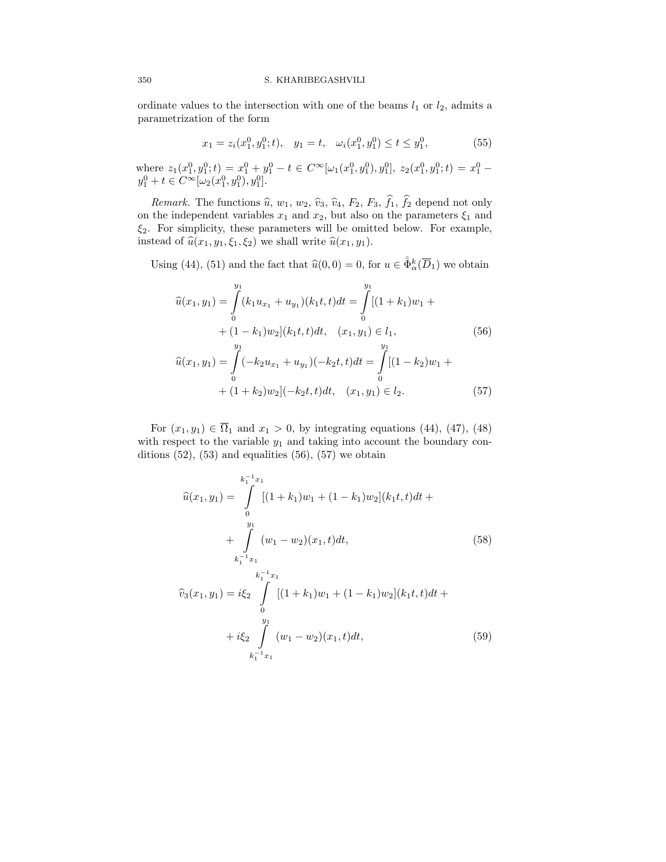ordinate values to the intersection with one of the beams  $l_1$  or  $l_2$ , admits a parametrization of the form

$$
x_1 = z_i(x_1^0, y_1^0; t), \quad y_1 = t, \quad \omega_i(x_1^0, y_1^0) \le t \le y_1^0,
$$
\n
$$
(55)
$$

where  $z_1(x_1^0, y_1^0; t) = x_1^0 + y_1^0 - t \in C^\infty[\omega_1(x_1^0, y_1^0), y_1^0], z_2(x_1^0, y_1^0; t) = x_1^0$  $y_1^0 + t \in C^\infty[\omega_2(x_1^0, y_1^0), y_1^0].$ 

*Remark.* The functions  $\hat{u}$ ,  $w_1$ ,  $w_2$ ,  $\hat{v}_3$ ,  $\hat{v}_4$ ,  $F_2$ ,  $F_3$ ,  $f_1$ ,  $f_2$  depend not only on the independent variables  $x_1$  and  $x_2$ , but also on the parameters  $\xi_1$  and  $\xi_2$ . For simplicity, these parameters will be omitted below. For example, instead of  $\widehat{u}(x_1, y_1, \xi_1, \xi_2)$  we shall write  $\widehat{u}(x_1, y_1)$ .

Using (44), (51) and the fact that  $\hat{u}(0, 0) = 0$ , for  $u \in \overset{\circ}{\Phi}{}_a^k(\overline{D}_1)$  we obtain

$$
\widehat{u}(x_1, y_1) = \int_0^{y_1} (k_1 u_{x_1} + u_{y_1})(k_1 t, t) dt = \int_0^{y_1} [(1 + k_1)w_1 + (1 - k_1)w_2](k_1 t, t) dt, \quad (x_1, y_1) \in l_1,
$$
\n
$$
(56)
$$

$$
\widehat{u}(x_1, y_1) = \int_0^{y_1} (-k_2 u_{x_1} + u_{y_1})(-k_2 t, t) dt = \int_0^{y_1} [(1 - k_2)w_1 + (1 + k_2)w_2](-k_2 t, t) dt, \quad (x_1, y_1) \in l_2.
$$
\n(57)

For  $(x_1, y_1) \in \overline{\Omega}_1$  and  $x_1 > 0$ , by integrating equations (44), (47), (48) with respect to the variable  $y_1$  and taking into account the boundary conditions  $(52)$ ,  $(53)$  and equalities  $(56)$ ,  $(57)$  we obtain

$$
\widehat{u}(x_1, y_1) = \int_{0}^{k_1^{-1}x_1} [(1+k_1)w_1 + (1-k_1)w_2](k_1t, t)dt + \int_{k_1^{-1}x_1}^{y_1} (w_1 - w_2)(x_1, t)dt,
$$
\n(58)  

$$
\widehat{v}_3(x_1, y_1) = i\xi_2 \int_{0}^{k_1^{-1}x_1} [(1+k_1)w_1 + (1-k_1)w_2](k_1t, t)dt + i\xi_2 \int_{0}^{y_1} (w_1 - w_2)(x_1, t)dt,
$$
\n(59)

 $k_1^{-1}x_1$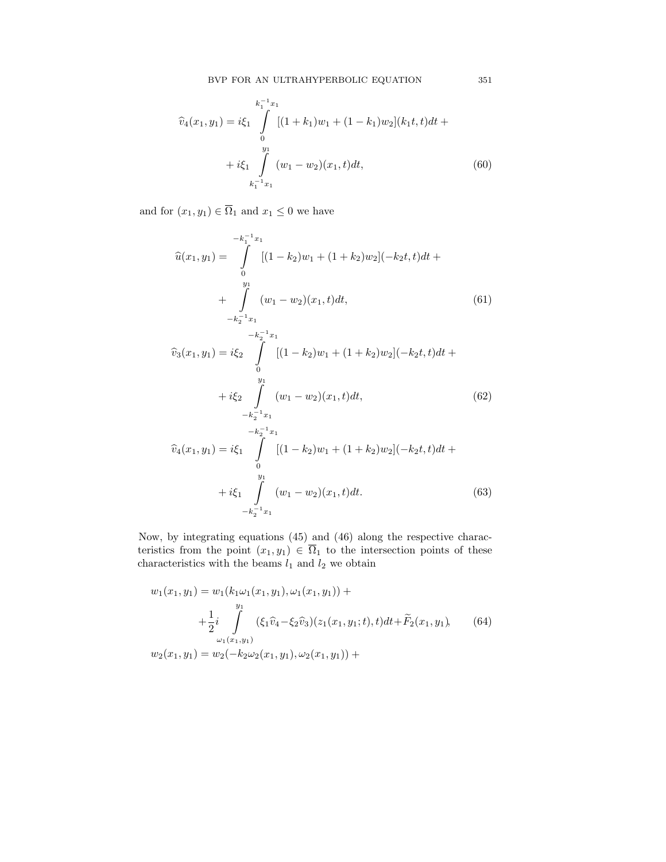$$
\hat{v}_4(x_1, y_1) = i\xi_1 \int_{0}^{k_1^{-1}x_1} [(1+k_1)w_1 + (1-k_1)w_2](k_1t, t)dt + i\xi_1 \int_{k_1^{-1}x_1}^{y_1} (w_1 - w_2)(x_1, t)dt,
$$
\n(60)

and for  $(x_1, y_1) \in \overline{\Omega}_1$  and  $x_1 \leq 0$  we have

$$
\widehat{u}(x_1, y_1) = \int_{0}^{-k_1^{-1}x_1} [(1 - k_2)w_1 + (1 + k_2)w_2](-k_2t, t)dt + \int_{-k_2^{-1}x_1}^{y_1} (w_1 - w_2)(x_1, t)dt,
$$
\n(61)

$$
\widehat{v}_3(x_1, y_1) = i\xi_2 \int_{0}^{-k_2^{-1}x_1} [(1 - k_2)w_1 + (1 + k_2)w_2](-k_2t, t)dt +
$$
  
+ 
$$
i\xi_2 \int_{-k_2^{-1}x_1}^{y_1} (w_1 - w_2)(x_1, t)dt,
$$
 (62)

$$
\widehat{v}_4(x_1, y_1) = i\xi_1 \int_{0}^{-k_2^{-1}x_1} [(1 - k_2)w_1 + (1 + k_2)w_2](-k_2t, t)dt +
$$
  
+ 
$$
i\xi_1 \int_{-k_2^{-1}x_1}^{y_1} (w_1 - w_2)(x_1, t)dt.
$$
 (63)

Now, by integrating equations (45) and (46) along the respective characteristics from the point  $(x_1, y_1) \in \Omega_1$  to the intersection points of these characteristics with the beams  $l_1$  and  $l_2$  we obtain

$$
w_1(x_1, y_1) = w_1(k_1\omega_1(x_1, y_1), \omega_1(x_1, y_1)) +
$$
  
+ 
$$
\frac{1}{2}i \int_{\omega_1(x_1, y_1)}^{\omega_1} (\xi_1 \hat{v}_4 - \xi_2 \hat{v}_3)(z_1(x_1, y_1; t), t)dt + \tilde{F}_2(x_1, y_1),
$$
  

$$
w_2(x_1, y_1) = w_2(-k_2\omega_2(x_1, y_1), \omega_2(x_1, y_1)) +
$$
 (64)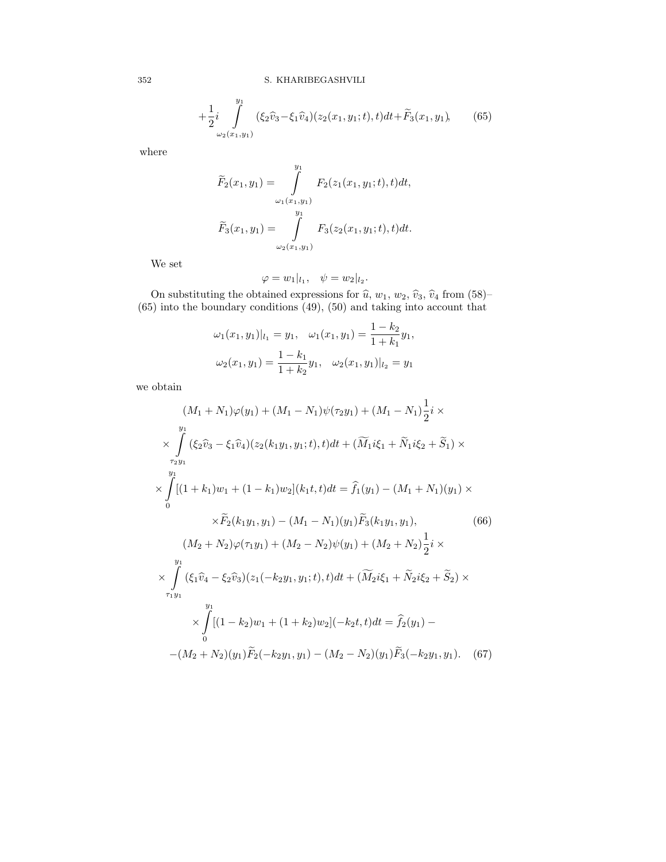$$
+\frac{1}{2}i\int\limits_{\omega_2(x_1,y_1)}^{y_1}(\xi_2\hat{v}_3-\xi_1\hat{v}_4)(z_2(x_1,y_1;t),t)dt+\widetilde{F}_3(x_1,y_1),\qquad(65)
$$

where

$$
\widetilde{F}_2(x_1, y_1) = \int_{\omega_1(x_1, y_1)}^{y_1} F_2(z_1(x_1, y_1; t), t) dt,
$$

$$
\widetilde{F}_3(x_1, y_1) = \int_{\omega_2(x_1, y_1)}^{y_1} F_3(z_2(x_1, y_1; t), t) dt.
$$

We set

$$
\varphi = w_1|_{l_1}, \quad \psi = w_2|_{l_2}.
$$

On substituting the obtained expressions for  $\hat{u}$ ,  $w_1$ ,  $w_2$ ,  $\hat{v}_3$ ,  $\hat{v}_4$  from (58)–<br>(65) into the boundary conditions (49), (50) and taking into account that

$$
\omega_1(x_1, y_1)|_{l_1} = y_1, \quad \omega_1(x_1, y_1) = \frac{1 - k_2}{1 + k_1} y_1,
$$
  

$$
\omega_2(x_1, y_1) = \frac{1 - k_1}{1 + k_2} y_1, \quad \omega_2(x_1, y_1)|_{l_2} = y_1
$$

we obtain

$$
(M_1 + N_1)\varphi(y_1) + (M_1 - N_1)\psi(\tau_2 y_1) + (M_1 - N_1)\frac{1}{2}i \times
$$
  
\n
$$
\times \int_{\tau_2 y_1}^{y_1} (\xi_2 \hat{v}_3 - \xi_1 \hat{v}_4)(z_2(k_1 y_1, y_1; t), t)dt + (\widetilde{M}_1 i\xi_1 + \widetilde{N}_1 i\xi_2 + \widetilde{S}_1) \times
$$
  
\n
$$
\times \int_{0}^{y_1} [(1 + k_1)w_1 + (1 - k_1)w_2](k_1 t, t)dt = \hat{f}_1(y_1) - (M_1 + N_1)(y_1) \times
$$
  
\n
$$
\times \widetilde{F}_2(k_1 y_1, y_1) - (M_1 - N_1)(y_1) \widetilde{F}_3(k_1 y_1, y_1),
$$
(66)  
\n
$$
(M_2 + N_2)\varphi(\tau_1 y_1) + (M_2 - N_2)\psi(y_1) + (M_2 + N_2)\frac{1}{2}i \times
$$
  
\n
$$
\times \int_{\tau_1 y_1}^{y_1} (\xi_1 \hat{v}_4 - \xi_2 \hat{v}_3)(z_1(-k_2 y_1, y_1; t), t)dt + (\widetilde{M}_2 i\xi_1 + \widetilde{N}_2 i\xi_2 + \widetilde{S}_2) \times
$$
  
\n
$$
\times \int_{0}^{y_1} [(1 - k_2)w_1 + (1 + k_2)w_2](-k_2 t, t)dt = \hat{f}_2(y_1) -
$$
  
\n
$$
-(M_2 + N_2)(y_1)\widetilde{F}_2(-k_2 y_1, y_1) - (M_2 - N_2)(y_1)\widetilde{F}_3(-k_2 y_1, y_1).
$$
(67)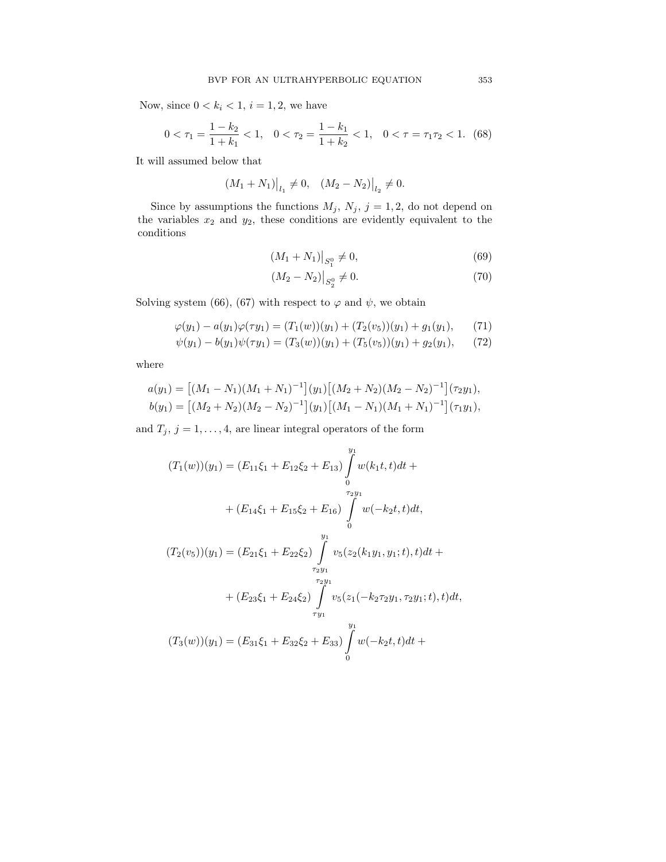Now, since  $0 < k_i < 1$ ,  $i = 1, 2$ , we have

$$
0 < \tau_1 = \frac{1 - k_2}{1 + k_1} < 1, \quad 0 < \tau_2 = \frac{1 - k_1}{1 + k_2} < 1, \quad 0 < \tau = \tau_1 \tau_2 < 1. \tag{68}
$$

It will assumed below that

$$
(M_1 + N_1)|_{l_1} \neq 0, \quad (M_2 - N_2)|_{l_2} \neq 0.
$$

Since by assumptions the functions  $M_j$ ,  $N_j$ ,  $j = 1, 2$ , do not depend on the variables  $x_2$  and  $y_2$ , these conditions are evidently equivalent to the conditions

$$
(M_1 + N_1)|_{S_1^0} \neq 0,\t\t(69)
$$

$$
(M_2 - N_2)|_{S_2^0} \neq 0. \tag{70}
$$

Solving system (66), (67) with respect to  $\varphi$  and  $\psi$ , we obtain

$$
\varphi(y_1) - a(y_1)\varphi(\tau y_1) = (T_1(w))(y_1) + (T_2(v_5))(y_1) + g_1(y_1), \qquad (71)
$$

$$
\psi(y_1) - b(y_1)\psi(\tau y_1) = (T_3(w))(y_1) + (T_5(v_5))(y_1) + g_2(y_1), \qquad (72)
$$

where

$$
a(y_1) = [(M_1 - N_1)(M_1 + N_1)^{-1}](y_1)[(M_2 + N_2)(M_2 - N_2)^{-1}](\tau_2 y_1),
$$
  
\n
$$
b(y_1) = [(M_2 + N_2)(M_2 - N_2)^{-1}](y_1)[(M_1 - N_1)(M_1 + N_1)^{-1}](\tau_1 y_1),
$$

and  $T_j$ ,  $j = 1, ..., 4$ , are linear integral operators of the form

$$
(T_1(w))(y_1) = (E_{11}\xi_1 + E_{12}\xi_2 + E_{13}) \int_0^{y_1} w(k_1t, t)dt +
$$
  
+ 
$$
(E_{14}\xi_1 + E_{15}\xi_2 + E_{16}) \int_0^{\tau_{2}y_1} w(-k_2t, t)dt,
$$
  

$$
(T_2(v_5))(y_1) = (E_{21}\xi_1 + E_{22}\xi_2) \int_0^{y_1} v_5(z_2(k_1y_1, y_1; t), t)dt +
$$
  
+ 
$$
(E_{23}\xi_1 + E_{24}\xi_2) \int_0^{\tau_{2}y_1} v_5(z_1(-k_2\tau_2y_1, \tau_2y_1; t), t)dt,
$$
  

$$
(T_3(w))(y_1) = (E_{31}\xi_1 + E_{32}\xi_2 + E_{33}) \int_0^{y_1} w(-k_2t, t)dt +
$$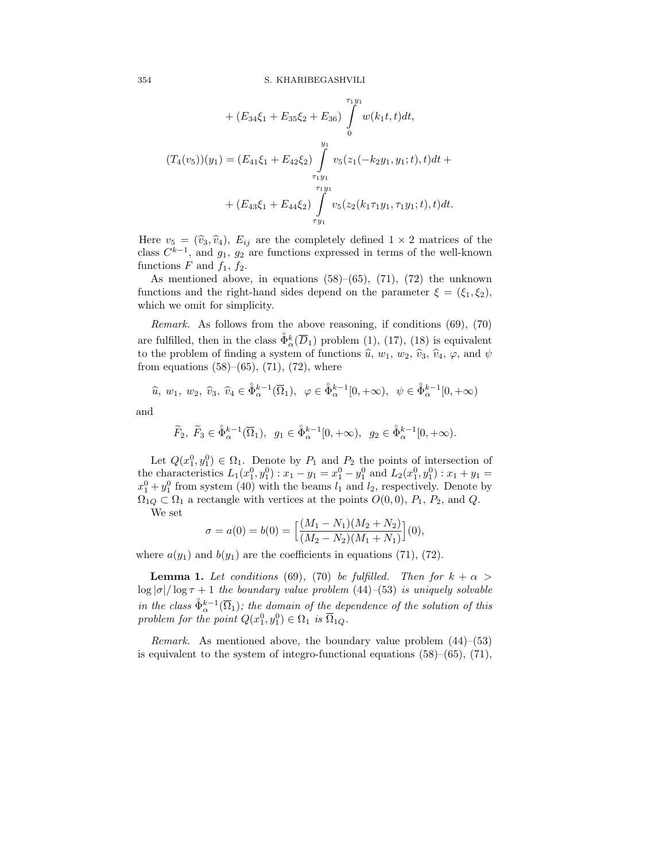+ 
$$
(E_{34}\xi_1 + E_{35}\xi_2 + E_{36}) \int_{0}^{\tau_1 y_1} w(k_1t, t)dt
$$
,  
\n $(T_4(v_5))(y_1) = (E_{41}\xi_1 + E_{42}\xi_2) \int_{\tau_1 y_1}^{y_1} v_5(z_1(-k_2y_1, y_1; t), t)dt +$   
\n+  $(E_{43}\xi_1 + E_{44}\xi_2) \int_{\tau_1 y_1}^{r_1 y_1} v_5(z_2(k_1\tau_1 y_1, \tau_1 y_1; t), t)dt$ .

Here  $v_5 = (\hat{v}_3, \hat{v}_4)$ ,  $E_{ij}$  are the completely defined  $1 \times 2$  matrices of the class  $C^{k-1}$ , and  $g_1, g_2$  are functions expressed in terms of the well-known functions F and  $f_1$ ,  $f_2$ .

As mentioned above, in equations  $(58)$ – $(65)$ ,  $(71)$ ,  $(72)$  the unknown functions and the right-hand sides depend on the parameter  $\xi = (\xi_1, \xi_2)$ , which we omit for simplicity.

Remark. As follows from the above reasoning, if conditions (69), (70) are fulfilled, then in the class  $\tilde{\Phi}_{\alpha}^{k}(\overline{D}_{1})$  problem (1), (17), (18) is equivalent to the problem of finding a system of functions  $\hat{u}$ ,  $w_1$ ,  $w_2$ ,  $\hat{v}_3$ ,  $\hat{v}_4$ ,  $\varphi$ , and  $\psi$ from equations  $(58)–(65)$ ,  $(71)$ ,  $(72)$ , where

$$
\widehat{u}
$$
,  $w_1$ ,  $w_2$ ,  $\widehat{v}_3$ ,  $\widehat{v}_4 \in \mathring{\Phi}_{\alpha}^{k-1}(\overline{\Omega}_1)$ ,  $\varphi \in \mathring{\Phi}_{\alpha}^{k-1}[0, +\infty)$ ,  $\psi \in \mathring{\Phi}_{\alpha}^{k-1}[0, +\infty)$ 

and

$$
\widetilde{F}_2
$$
,  $\widetilde{F}_3 \in \mathring{\Phi}_{\alpha}^{k-1}(\overline{\Omega}_1)$ ,  $g_1 \in \mathring{\Phi}_{\alpha}^{k-1}[0, +\infty)$ ,  $g_2 \in \mathring{\Phi}_{\alpha}^{k-1}[0, +\infty)$ .

Let  $Q(x_1^0, y_1^0) \in \Omega_1$ . Denote by  $P_1$  and  $P_2$  the points of intersection of the characteristics  $L_1(x_1^0, y_1^0)$ :  $x_1 - y_1 = x_1^0 - y_1^0$  and  $L_2(x_1^0, y_1^0)$ :  $x_1 + y_1 =$  $x_1^0 + y_1^0$  from system (40) with the beams  $l_1$  and  $l_2$ , respectively. Denote by  $\Omega_{1Q} \subset \Omega_1$  a rectangle with vertices at the points  $O(0,0)$ ,  $P_1$ ,  $P_2$ , and  $Q$ .

We set

$$
\sigma = a(0) = b(0) = \left[ \frac{(M_1 - N_1)(M_2 + N_2)}{(M_2 - N_2)(M_1 + N_1)} \right](0),
$$

where  $a(y_1)$  and  $b(y_1)$  are the coefficients in equations (71), (72).

**Lemma 1.** Let conditions (69), (70) be fulfilled. Then for  $k + \alpha$  $\log |\sigma|/\log \tau + 1$  the boundary value problem (44)–(53) is uniquely solvable in the class  $\mathring{\Phi}_{\alpha}^{k-1}(\overline{\Omega}_1)$ ; the domain of the dependence of the solution of this problem for the point  $Q(x_1^0, y_1^0) \in \Omega_1$  is  $\overline{\Omega}_{1Q}$ .

*Remark.* As mentioned above, the boundary value problem  $(44)$ – $(53)$ is equivalent to the system of integro-functional equations  $(58)$ – $(65)$ ,  $(71)$ ,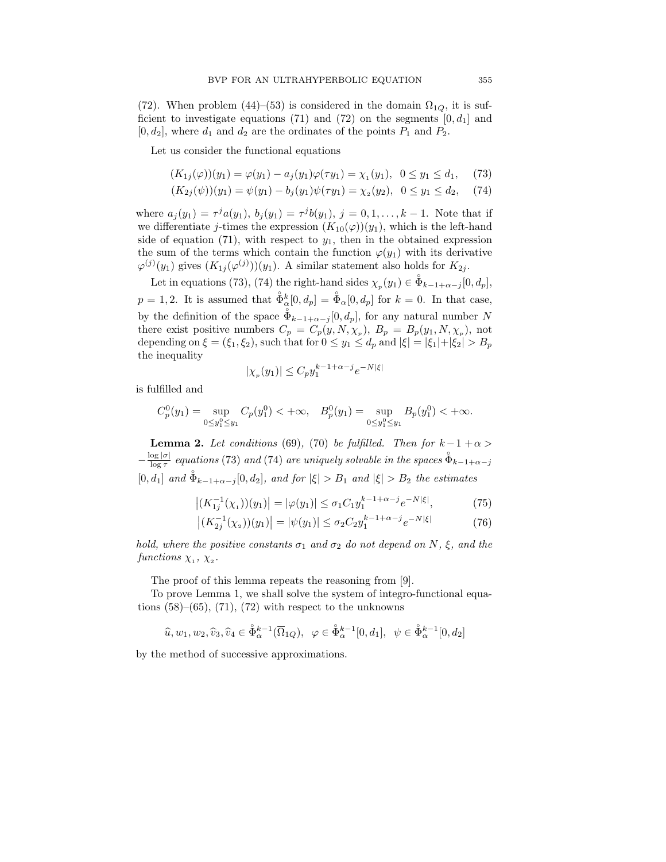(72). When problem (44)–(53) is considered in the domain  $\Omega_{1Q}$ , it is sufficient to investigate equations (71) and (72) on the segments  $[0, d_1]$  and  $[0, d_2]$ , where  $d_1$  and  $d_2$  are the ordinates of the points  $P_1$  and  $P_2$ .

Let us consider the functional equations

$$
(K_{1j}(\varphi))(y_1) = \varphi(y_1) - a_j(y_1)\varphi(\tau y_1) = \chi_1(y_1), \ \ 0 \le y_1 \le d_1, \tag{73}
$$

$$
(K_{2j}(\psi))(y_1) = \psi(y_1) - b_j(y_1)\psi(\tau y_1) = \chi_2(y_2), \ \ 0 \le y_1 \le d_2, \ \ (74)
$$

where  $a_j(y_1) = \tau^j a(y_1), b_j(y_1) = \tau^j b(y_1), j = 0, 1, ..., k-1$ . Note that if we differentiate j-times the expression  $(K_{10}(\varphi))(y_1)$ , which is the left-hand side of equation (71), with respect to  $y_1$ , then in the obtained expression the sum of the terms which contain the function  $\varphi(y_1)$  with its derivative  $\varphi^{(j)}(y_1)$  gives  $(K_{1j}(\varphi^{(j)}))(y_1)$ . A similar statement also holds for  $K_{2j}$ .

Let in equations (73), (74) the right-hand sides  $\chi_p(y_1) \in \mathring{\Phi}_{k-1+\alpha-j}[0, d_p],$  $p = 1, 2$ . It is assumed that  $\hat{\Phi}_{\alpha}^{k}[0, d_{p}] = \hat{\Phi}_{\alpha}[0, d_{p}]$  for  $k = 0$ . In that case, by the definition of the space  $\mathring{\Phi}_{k-1+\alpha-j}[0, d_p]$ , for any natural number N there exist positive numbers  $C_p = C_p(y, N, \chi_p)$ ,  $B_p = B_p(y_1, N, \chi_p)$ , not depending on  $\xi = (\xi_1, \xi_2)$ , such that for  $0 \le y_1 \le d_p$  and  $|\xi| = |\xi_1| + |\xi_2| > B_p$ the inequality

$$
|\chi_p(y_1)| \le C_p y_1^{k-1+\alpha-j} e^{-N|\xi|}
$$

is fulfilled and

$$
C_p^0(y_1) = \sup_{0 \le y_1^0 \le y_1} C_p(y_1^0) < +\infty, \quad B_p^0(y_1) = \sup_{0 \le y_1^0 \le y_1} B_p(y_1^0) < +\infty.
$$

**Lemma 2.** Let conditions (69), (70) be fulfilled. Then for  $k-1+\alpha$  $-\frac{\log |\sigma|}{\log \tau}$  equations (73) and (74) are uniquely solvable in the spaces  $\mathring{\Phi}_{k-1+\alpha-j}$  $[0, d_1]$  and  $\mathring{\Phi}_{k-1+\alpha-j}[0, d_2]$ , and for  $|\xi| > B_1$  and  $|\xi| > B_2$  the estimates

$$
\left| (K_{1j}^{-1}(\chi_1))(y_1) \right| = |\varphi(y_1)| \le \sigma_1 C_1 y_1^{k-1+\alpha-j} e^{-N|\xi|}, \tag{75}
$$

$$
\left| (K_{2j}^{-1}(\chi_2))(y_1) \right| = |\psi(y_1)| \le \sigma_2 C_2 y_1^{k-1+\alpha-j} e^{-N|\xi|} \tag{76}
$$

hold, where the positive constants  $\sigma_1$  and  $\sigma_2$  do not depend on N,  $\xi$ , and the functions  $\chi_1$ ,  $\chi_2$ .

The proof of this lemma repeats the reasoning from [9].

To prove Lemma 1, we shall solve the system of integro-functional equations  $(58)$ – $(65)$ ,  $(71)$ ,  $(72)$  with respect to the unknowns

$$
\widehat{u}, w_1, w_2, \widehat{v}_3, \widehat{v}_4 \in \widehat{\Phi}_{\alpha}^{k-1}(\overline{\Omega}_{1Q}), \ \ \varphi \in \widehat{\Phi}_{\alpha}^{k-1}[0, d_1], \ \ \psi \in \widehat{\Phi}_{\alpha}^{k-1}[0, d_2]
$$

by the method of successive approximations.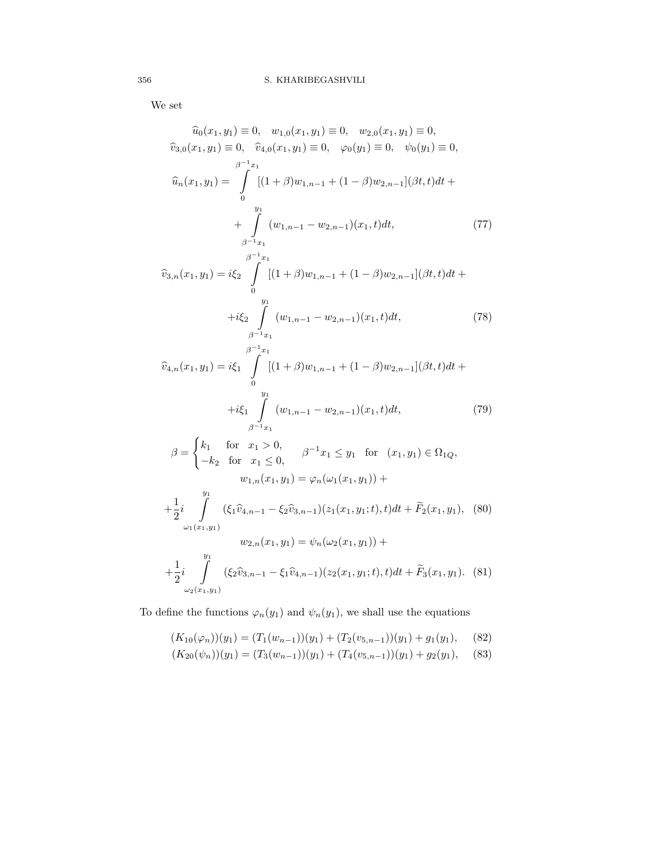We set

$$
\hat{u}_0(x_1, y_1) \equiv 0, \quad w_{1,0}(x_1, y_1) \equiv 0, \quad w_{2,0}(x_1, y_1) \equiv 0,
$$
\n
$$
\hat{v}_{3,0}(x_1, y_1) \equiv 0, \quad \hat{v}_{4,0}(x_1, y_1) \equiv 0, \quad \varphi_0(y_1) \equiv 0, \quad \psi_0(y_1) \equiv 0,
$$
\n
$$
\hat{u}_n(x_1, y_1) = \int_{0}^{\beta^{-1}x_1} [(1+\beta)w_{1,n-1} + (1-\beta)w_{2,n-1}](\beta t, t)dt + \int_{\beta^{-1}x_1}^{\beta t} (w_{1,n-1} - w_{2,n-1})(x_1, t)dt, \tag{77}
$$

$$
\widehat{v}_{3,n}(x_1, y_1) = i\xi_2 \int_{0}^{\beta^{-1}x_1} [(1+\beta)w_{1,n-1} + (1-\beta)w_{2,n-1}](\beta t, t)dt + i\xi_2 \int_{\beta^{-1}x_1}^{y_1} (w_{1,n-1} - w_{2,n-1})(x_1, t)dt,
$$
\n(78)

$$
\widehat{v}_{4,n}(x_1, y_1) = i\xi_1 \int_{0}^{\beta^{-1}x_1} [(1+\beta)w_{1,n-1} + (1-\beta)w_{2,n-1}](\beta t, t)dt + i\xi_1 \int_{\beta^{-1}x_1}^{y_1} (w_{1,n-1} - w_{2,n-1})(x_1, t)dt,
$$
\n(79)

$$
\beta = \begin{cases}\nk_1 & \text{for } x_1 > 0, \\
-k_2 & \text{for } x_1 \le 0, \\
w_{1,n}(x_1, y_1) = \varphi_n(\omega_1(x_1, y_1)) + \\
+\frac{1}{2}i \int_{\omega_1(x_1, y_1)}^{\omega_1} (\xi_1 \hat{v}_{4,n-1} - \xi_2 \hat{v}_{3,n-1})(z_1(x_1, y_1; t), t)dt + \tilde{F}_2(x_1, y_1), \quad (80) \\
w_{2,n}(x_1, y_1) = \psi_n(\omega_2(x_1, y_1)) + \\
+\frac{1}{2}i \int_{\omega_2(x_1, y_1)}^{\omega_1} (\xi_2 \hat{v}_{3,n-1} - \xi_1 \hat{v}_{4,n-1})(z_2(x_1, y_1; t), t)dt + \tilde{F}_3(x_1, y_1). \quad (81)\n\end{cases}
$$

To define the functions  $\varphi_n(y_1)$  and  $\psi_n(y_1)$ , we shall use the equations

$$
(K_{10}(\varphi_n))(y_1) = (T_1(w_{n-1}))(y_1) + (T_2(v_{5,n-1}))(y_1) + g_1(y_1), \quad (82)
$$

$$
(K_{20}(\psi_n))(y_1) = (T_3(w_{n-1}))(y_1) + (T_4(v_{5,n-1}))(y_1) + g_2(y_1), \quad (83)
$$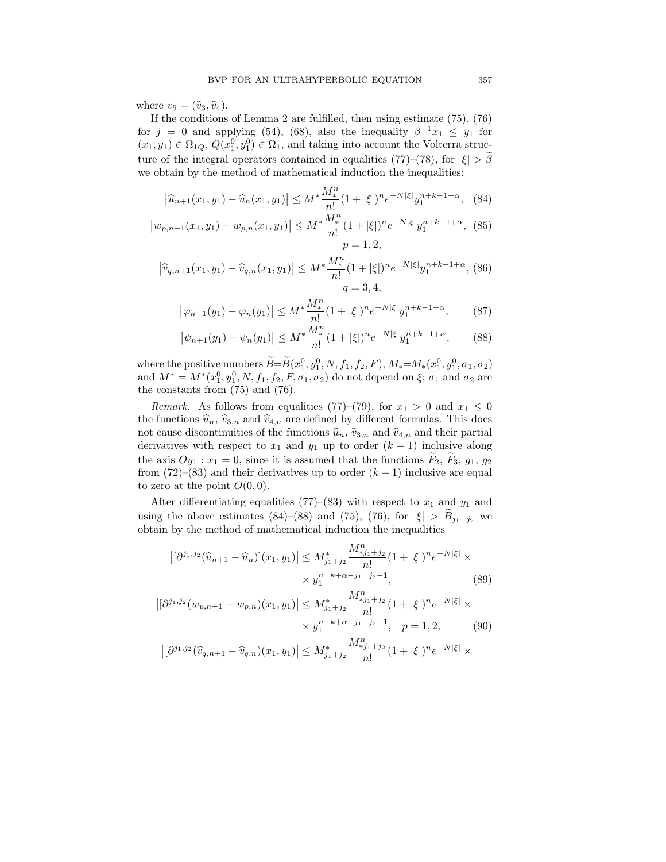where  $v_5 = (\widehat{v}_3, \widehat{v}_4)$ .

If the conditions of Lemma 2 are fulfilled, then using estimate (75), (76) for  $j = 0$  and applying (54), (68), also the inequality  $\beta^{-1}x_1 \leq y_1$  for  $(x_1, y_1) \in \Omega_{1Q}, Q(x_1^0, y_1^0) \in \Omega_1$ , and taking into account the Volterra structure of the integral operators contained in equalities (77)–(78), for  $|\xi| > \beta$ we obtain by the method of mathematical induction the inequalities:

$$
\left|\hat{u}_{n+1}(x_1, y_1) - \hat{u}_n(x_1, y_1)\right| \le M^* \frac{M^n}{n!} (1 + |\xi|)^n e^{-N|\xi|} y_1^{n+k-1+\alpha}, \tag{84}
$$

$$
\left|w_{p,n+1}(x_1,y_1) - w_{p,n}(x_1,y_1)\right| \le M^* \frac{M_*^n}{n!} (1 + |\xi|)^n e^{-N|\xi|} y_1^{n+k-1+\alpha}, \tag{85}
$$
  

$$
p = 1, 2,
$$

$$
\left|\hat{v}_{q,n+1}(x_1,y_1) - \hat{v}_{q,n}(x_1,y_1)\right| \le M^* \frac{M^n_*}{n!} (1+|\xi|)^n e^{-N|\xi|} y_1^{n+k-1+\alpha},
$$
(86)  

$$
q = 3, 4,
$$

$$
\left|\varphi_{n+1}(y_1) - \varphi_n(y_1)\right| \le M^* \frac{M^n_*}{n!} (1 + |\xi|)^n e^{-N|\xi|} y_1^{n+k-1+\alpha},\tag{87}
$$

$$
\left|\psi_{n+1}(y_1) - \psi_n(y_1)\right| \le M^* \frac{M^n_*}{n!} (1 + |\xi|)^n e^{-N|\xi|} y_1^{n+k-1+\alpha},\tag{88}
$$

where the positive numbers  $\widetilde{B} = \widetilde{B}(x_1^0, y_1^0, N, f_1, f_2, F), M_* = M_*(x_1^0, y_1^0, \sigma_1, \sigma_2)$ and  $M^* = M^*(x_1^0, y_1^0, N, f_1, f_2, F, \sigma_1, \sigma_2)$  do not depend on  $\xi$ ;  $\sigma_1$  and  $\sigma_2$  are the constants from (75) and (76).

*Remark.* As follows from equalities (77)–(79), for  $x_1 > 0$  and  $x_1 \leq 0$ the functions  $\hat{u}_n, \hat{v}_{3,n}$  and  $\hat{v}_{4,n}$  are defined by different formulas. This does not cause discontinuities of the functions  $\hat{u}_n$ ,  $\hat{v}_{3,n}$  and  $\hat{v}_{4,n}$  and their partial derivatives with respect to  $x_1$  and  $y_1$  up to order  $(k-1)$  inclusive along the axis  $Oy_1$ :  $x_1 = 0$ , since it is assumed that the functions  $F_2$ ,  $F_3$ ,  $g_1$ ,  $g_2$ from (72)–(83) and their derivatives up to order  $(k-1)$  inclusive are equal to zero at the point  $O(0,0)$ .

After differentiating equalities (77)–(83) with respect to  $x_1$  and  $y_1$  and using the above estimates (84)–(88) and (75), (76), for  $|\xi| > B_{j_1+j_2}$  we obtain by the method of mathematical induction the inequalities

$$
\left| [\partial^{j_1,j_2}(\widehat{u}_{n+1} - \widehat{u}_n)](x_1, y_1) \right| \le M_{j_1+j_2}^* \frac{M_{*j_1+j_2}^n}{n!} (1 + |\xi|)^n e^{-N|\xi|} \times \\ \times y_1^{n+k+\alpha-j_1-j_2-1}, \tag{89}
$$

$$
\left| [\partial^{j_1,j_2}(w_{p,n+1} - w_{p,n})(x_1, y_1)] \right| \le M_{j_1+j_2}^* \frac{M_{*j_1+j_2}^n}{n!} (1 + |\xi|)^n e^{-N|\xi|} \times
$$
  
 
$$
\times y_1^{n+k+\alpha-j_1-j_2-1}, \quad p = 1, 2,
$$
 (90)

$$
\left|[\partial^{j_1,j_2}(\widehat{v}_{q,n+1}-\widehat{v}_{q,n})(x_1,y_1)\right|\leq M_{j_1+j_2}^*\frac{M_{\ast j_1+j_2}^n}{n!}(1+|\xi|)^n e^{-N|\xi|}\times\\
$$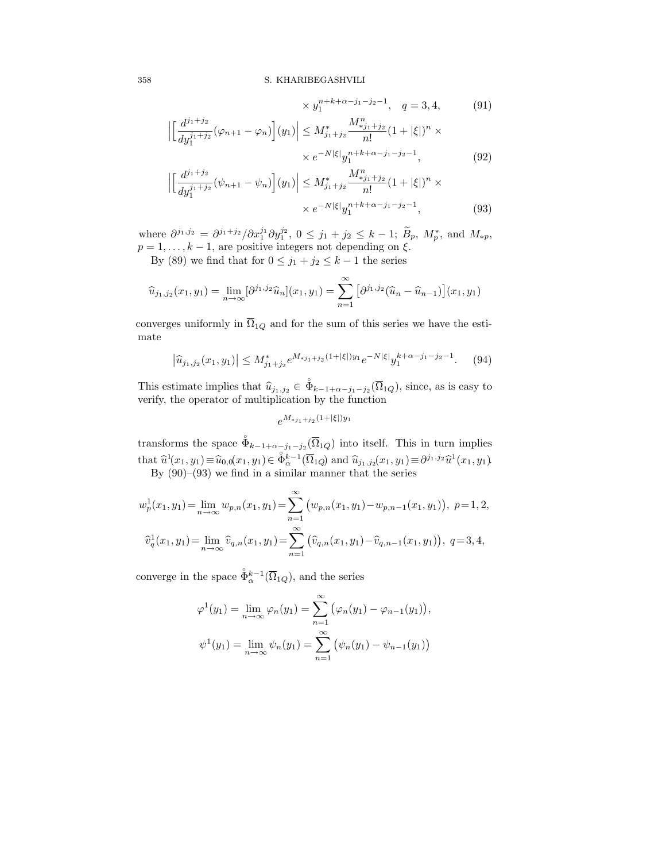## 358 S. KHARIBEGASHVILI

$$
\times y_1^{n+k+\alpha-j_1-j_2-1}, \quad q = 3, 4,
$$
\n(91)  
\n
$$
\left| \left[ \frac{d^{j_1+j_2}}{dy_1^{j_1+j_2}} (\varphi_{n+1} - \varphi_n) \right] (y_1) \right| \le M_{j_1+j_2}^* \frac{M_{j_1+j_2}^n}{n!} (1 + |\xi|)^n \times
$$
\n
$$
\times e^{-N|\xi|} y_1^{n+k+\alpha-j_1-j_2-1},
$$
\n(92)

$$
\left| \left[ \frac{d^{j_1+j_2}}{dy_1^{j_1+j_2}} (\psi_{n+1} - \psi_n) \right] (y_1) \right| \le M_{j_1+j_2}^* \frac{M_{*j_1+j_2}^n}{n!} (1 + |\xi|)^n \times \\ \times e^{-N|\xi|} y_1^{n+k+\alpha-j_1-j_2-1}, \tag{93}
$$

where  $\partial^{j_1,j_2} = \partial^{j_1+j_2} / \partial x_1^{j_1} \partial y_1^{j_2}, 0 \le j_1+j_2 \le k-1; \ \widetilde{B}_p, M_p^*$ , and  $M_{*p}$ ,  $p = 1, \ldots, k - 1$ , are positive integers not depending on  $\xi$ .

By (89) we find that for  $0 \le j_1 + j_2 \le k - 1$  the series

$$
\widehat{u}_{j_1,j_2}(x_1,y_1) = \lim_{n \to \infty} [\partial^{j_1,j_2} \widehat{u}_n](x_1,y_1) = \sum_{n=1}^{\infty} [\partial^{j_1,j_2} (\widehat{u}_n - \widehat{u}_{n-1})](x_1,y_1)
$$

converges uniformly in  $\overline{\Omega}_{1Q}$  and for the sum of this series we have the estimate

$$
\left|\hat{u}_{j_1,j_2}(x_1,y_1)\right| \le M_{j_1+j_2}^* e^{M_{*j_1+j_2}(1+|\xi|)y_1} e^{-N|\xi|} y_1^{k+\alpha-j_1-j_2-1}.\tag{94}
$$

This estimate implies that  $\hat{u}_{j_1,j_2} \in \mathring{\Phi}_{k-1+\alpha-j_1-j_2}(\overline{\Omega}_{1Q})$ , since, as is easy to verify, the operator of multiplication by the function

 $e^{M_{*j_1+j_2}(1+|\xi|)y_1}$ 

transforms the space  $\mathring{\Phi}_{k-1+\alpha-j_1-j_2}(\overline{\Omega}_{1Q})$  into itself. This in turn implies that  $\widehat{u}^1(x_1, y_1) \equiv \widehat{u}_{0,0}(x_1, y_1) \in \widehat{\Phi}_{\alpha}^{k-1}(\overline{\Omega}_{1Q})$  and  $\widehat{u}_{j_1, j_2}(x_1, y_1) \equiv \partial^{j_1, j_2} \widehat{u}^1(x_1, y_1)$ . By (90)–(93) we find in a similar manner that the series

$$
w_p^1(x_1, y_1) = \lim_{n \to \infty} w_{p,n}(x_1, y_1) = \sum_{n=1}^{\infty} (w_{p,n}(x_1, y_1) - w_{p,n-1}(x_1, y_1)), \ p = 1, 2,
$$
  

$$
\widehat{v}_q^1(x_1, y_1) = \lim_{n \to \infty} \widehat{v}_{q,n}(x_1, y_1) = \sum_{n=1}^{\infty} (\widehat{v}_{q,n}(x_1, y_1) - \widehat{v}_{q,n-1}(x_1, y_1)), \ q = 3, 4,
$$

converge in the space  $\mathring{\Phi}_{\alpha}^{k-1}(\overline{\Omega}_{1Q})$ , and the series

$$
\varphi^{1}(y_{1}) = \lim_{n \to \infty} \varphi_{n}(y_{1}) = \sum_{n=1}^{\infty} (\varphi_{n}(y_{1}) - \varphi_{n-1}(y_{1})),
$$
  

$$
\psi^{1}(y_{1}) = \lim_{n \to \infty} \psi_{n}(y_{1}) = \sum_{n=1}^{\infty} (\psi_{n}(y_{1}) - \psi_{n-1}(y_{1}))
$$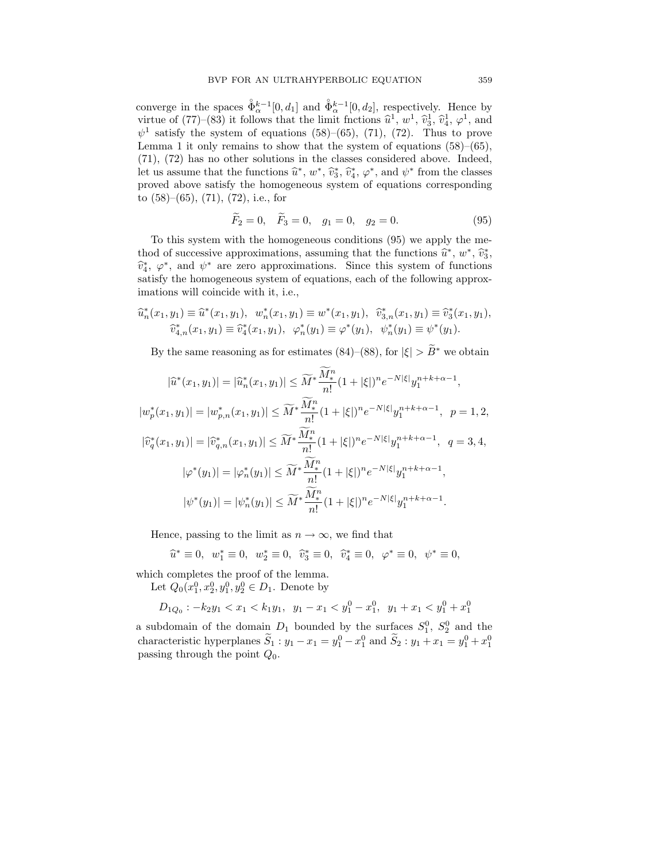converge in the spaces  $\mathring{\Phi}_{\alpha}^{k-1}[0, d_1]$  and  $\mathring{\Phi}_{\alpha}^{k-1}[0, d_2]$ , respectively. Hence by virtue of (77)–(83) it follows that the limit frictions  $\hat{u}^1$ ,  $w^1$ ,  $\hat{v}^1_3$ ,  $\hat{v}^1_4$ ,  $\varphi^1$ , and  $\psi$ <sup>1</sup> satisfy the system of equations (58)–(65), (71), (72). Thus to prove Lemma 1 it only remains to show that the system of equations  $(58)$ – $(65)$ , (71), (72) has no other solutions in the classes considered above. Indeed, let us assume that the functions  $\hat{u}^*, w^*, \hat{v}_3^*, \hat{v}_4^*, \varphi^*,$  and  $\psi^*$  from the classes proved above satisfy the homogeneous system of equations corresponding to (58)–(65), (71), (72), i.e., for

$$
\widetilde{F}_2 = 0, \quad \widetilde{F}_3 = 0, \quad g_1 = 0, \quad g_2 = 0.
$$
\n(95)

To this system with the homogeneous conditions (95) we apply the method of successive approximations, assuming that the functions  $\hat{u}^*, w^*, \hat{v}_3^*,$  $\hat{v}_4^*, \varphi^*,$  and  $\psi^*$  are zero approximations. Since this system of functions satisfy the homogeneous system of equations, each of the following approximations will coincide with it, i.e.,

$$
\begin{aligned}\n\widehat{u}_n^*(x_1, y_1) &\equiv \widehat{u}^*(x_1, y_1), \quad w_n^*(x_1, y_1) \equiv w^*(x_1, y_1), \quad \widehat{v}_{3,n}^*(x_1, y_1) \equiv \widehat{v}_3^*(x_1, y_1), \\
\widehat{v}_{4,n}^*(x_1, y_1) &\equiv \widehat{v}_4^*(x_1, y_1), \quad \varphi_n^*(y_1) \equiv \varphi^*(y_1), \quad \psi_n^*(y_1) \equiv \psi^*(y_1).\n\end{aligned}
$$

By the same reasoning as for estimates (84)–(88), for  $|\xi| > \widetilde{B}^*$  we obtain

$$
\begin{split} |\widehat{u}^*(x_1,y_1)|&=|\widehat{u}^*_n(x_1,y_1)|\leq \widetilde{M}^*\frac{\widetilde{M}^n_*}{n!}(1+|\xi|)^n e^{-N|\xi|}y_1^{n+k+\alpha-1},\\ |w^*_p(x_1,y_1)|&=|w^*_{p,n}(x_1,y_1)|\leq \widetilde{M}^*\frac{\widetilde{M}^n_*}{n!}(1+|\xi|)^ne^{-N|\xi|}y_1^{n+k+\alpha-1}, \;\;p=1,2,\\ |\widehat{v}^*_q(x_1,y_1)|&=|\widehat{v}^*_{q,n}(x_1,y_1)|\leq \widetilde{M}^*\frac{\widetilde{M}^n_*}{n!}(1+|\xi|)^ne^{-N|\xi|}y_1^{n+k+\alpha-1}, \;\;q=3,4,\\ |\varphi^*(y_1)|&=|\varphi^*_n(y_1)|\leq \widetilde{M}^*\frac{\widetilde{M}^n_*}{n!}(1+|\xi|)^ne^{-N|\xi|}y_1^{n+k+\alpha-1},\\ |\psi^*(y_1)|&=|\psi^*_n(y_1)|\leq \widetilde{M}^*\frac{\widetilde{M}^n_*}{n!}(1+|\xi|)^ne^{-N|\xi|}y_1^{n+k+\alpha-1}. \end{split}
$$

Hence, passing to the limit as  $n \to \infty$ , we find that

$$
\hat{u}^* \equiv 0
$$
,  $w_1^* \equiv 0$ ,  $w_2^* \equiv 0$ ,  $\hat{v}_3^* \equiv 0$ ,  $\hat{v}_4^* \equiv 0$ ,  $\varphi^* \equiv 0$ ,  $\psi^* \equiv 0$ ,

which completes the proof of the lemma.

Let  $Q_0(x_1^0, x_2^0, y_1^0, y_2^0 \in D_1$ . Denote by

$$
D_{1Q_0} : -k_2y_1 < x_1 < k_1y_1, \ y_1 - x_1 < y_1^0 - x_1^0, \ y_1 + x_1 < y_1^0 + x_1^0
$$

a subdomain of the domain  $D_1$  bounded by the surfaces  $S_1^0$ ,  $S_2^0$  and the characteristic hyperplanes  $\tilde{S}_1 : y_1 - x_1 = y_1^0 - x_1^0$  and  $\tilde{S}_2 : y_1 + x_1 = y_1^0 + x_1^0$ passing through the point  $Q_0$ .